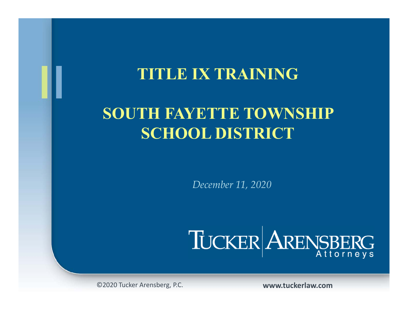#### **TITLE IX TRAINING**

### **SOUTH FAYETTE TOWNSHIP SCHOOL DISTRICT**

*December 11, 2020*



©2020 Tucker Arensberg, P.C. **www.tuckerlaw.com**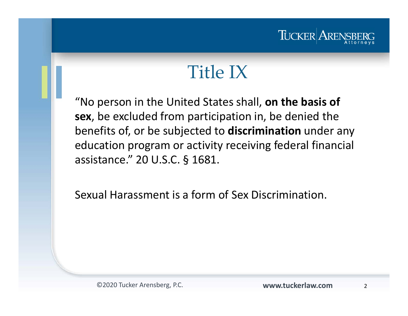

# Title IX

"No person in the United States shall, **on the basis of sex**, be excluded from participation in, be denied the benefits of, or be subjected to **discrimination** under any education program or activity receiving federal financial assistance." 20 U.S.C. § 1681.

Sexual Harassment is a form of Sex Discrimination.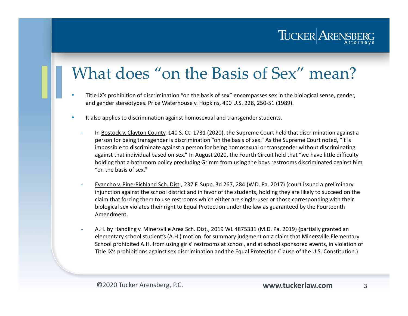#### What does "on the Basis of Sex" mean?

- • Title IX's prohibition of discrimination "on the basis of sex" encompasses sex in the biological sense, gender, and gender stereotypes. Price Waterhouse v. Hopkin*<sup>s</sup>*, 490 U.S. 228, 250-51 (1989).
- • It also applies to discrimination against homosexual and transgender students.
	- In Bostock v. Clayton County, 140 S. Ct. 1731 (2020), the Supreme Court held that discrimination against a person for being transgender is discrimination "on the basis of sex." As the Supreme Court noted, "it is impossible to discriminate against a person for being homosexual or transgender without discriminating against that individual based on sex." In August 2020, the Fourth Circuit held that "we have little difficulty holding that a bathroom policy precluding Grimm from using the boys restrooms discriminated against him "on the basis of sex."
	- Evancho v. Pine-Richland Sch. Dist*.,* 237 F. Supp. 3d 267, 284 (W.D. Pa. 2017) (court issued a preliminary injunction against the school district and in favor of the students, holding they are likely to succeed on the claim that forcing them to use restrooms which either are single-user or those corresponding with their biological sex violates their right to Equal Protection under the law as guaranteed by the Fourteenth Amendment.
	- A.H. by Handling v. Minersville Area Sch. Dist*.*, 2019 WL 4875331 (M.D. Pa. 2019) **(**partially granted an elementary school student's (A.H.) motion for summary judgment on a claim that Minersville Elementary School prohibited A.H. from using girls' restrooms at school, and at school sponsored events, in violation of Title IX's prohibitions against sex discrimination and the Equal Protection Clause of the U.S. Constitution.)

TUCKER ARENS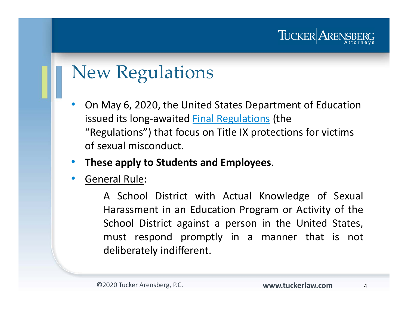#### TUCKER ARENS

# New Regulations

 $\bullet$  On May 6, 2020, the United States Department of Education issued its long-awaited **Final Regulations** (the "Regulations") that focus on Title IX protections for victims of sexual misconduct.

#### •**These apply to Students and Employees**.

•General Rule:

> A School District with Actual Knowledge of Sexual Harassment in an Education Program or Activity of the School District against <sup>a</sup> person in the United States, must respond promptly in <sup>a</sup> manner that is not deliberately indifferent.

4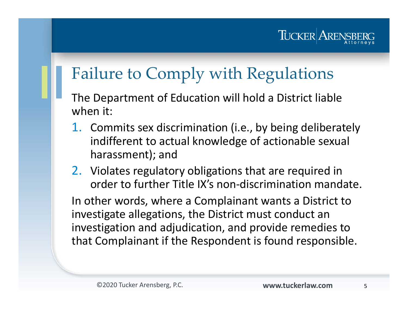

### Failure to Comply with Regulations

- The Department of Education will hold a District liable when it:
	- 1. Commits sex discrimination (i.e., by being deliberately indifferent to actual knowledge of actionable sexual harassment); and
- 2. Violates regulatory obligations that are required in order to further Title IX's non-discrimination mandate.

In other words, where a Complainant wants a District to investigate allegations, the District must conduct an investigation and adjudication, and provide remedies to that Complainant if the Respondent is found responsible.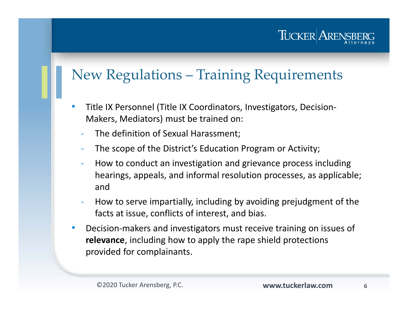TUCKER AREN

#### New Regulations – Training Requirements

- $\bullet$  Title IX Personnel (Title IX Coordinators, Investigators, Decision-Makers, Mediators) must be trained on:
	- The definition of Sexual Harassment;
	- -The scope of the District's Education Program or Activity;
	- How to conduct an investigation and grievance process including hearings, appeals, and informal resolution processes, as applicable; and
	- How to serve impartially, including by avoiding prejudgment of the facts at issue, conflicts of interest, and bias.
- $\bullet$  Decision-makers and investigators must receive training on issues of **relevance**, including how to apply the rape shield protections provided for complainants.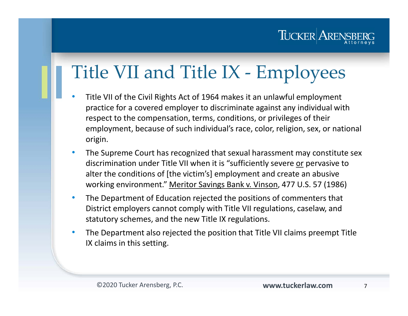

# Title VII and Title IX - Employees

- • Title VII of the Civil Rights Act of 1964 makes it an unlawful employment practice for a covered employer to discriminate against any individual with respect to the compensation, terms, conditions, or privileges of their employment, because of such individual's race, color, religion, sex, or national origin.
- $\bullet$  The Supreme Court has recognized that sexual harassment may constitute sex discrimination under Title VII when it is "sufficiently severe or pervasive to alter the conditions of [the victim's] employment and create an abusive working environment." Meritor Savings Bank v. Vinson, 477 U.S. 57 (1986)
- $\bullet$  The Department of Education rejected the positions of commenters that District employers cannot comply with Title VII regulations, caselaw, and statutory schemes, and the new Title IX regulations.
- $\bullet$  The Department also rejected the position that Title VII claims preempt Title IX claims in this setting.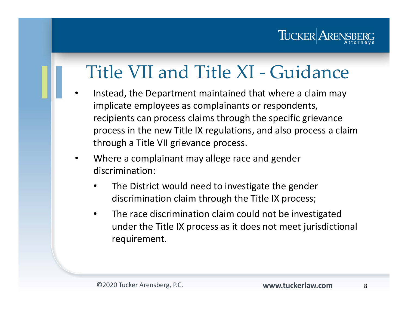

# Title VII and Title XI - Guidance

- • Instead, the Department maintained that where a claim may implicate employees as complainants or respondents, recipients can process claims through the specific grievance process in the new Title IX regulations, and also process a claim through a Title VII grievance process.
- • Where a complainant may allege race and gender discrimination:
	- • The District would need to investigate the gender discrimination claim through the Title IX process;
	- $\bullet$  The race discrimination claim could not be investigated under the Title IX process as it does not meet jurisdictional requirement.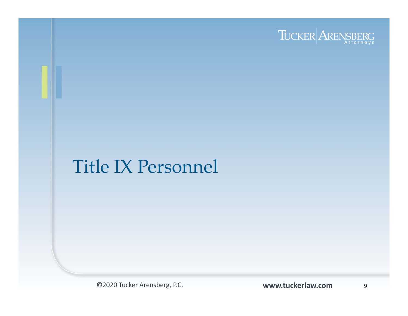

#### Title IX Personnel

©2020 Tucker Arensberg, P.C.

www.tuckerlaw.com

9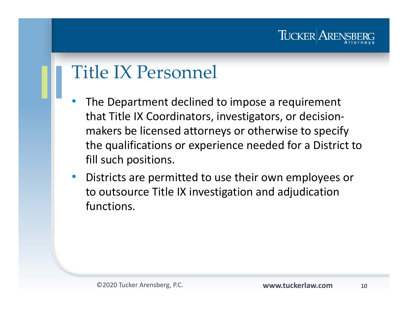#### TUCKER AREN

## Title IX Personnel

- • The Department declined to impose a requirement that Title IX Coordinators, investigators, or decisionmakers be licensed attorneys or otherwise to specify the qualifications or experience needed for a District to fill such positions.
- $\bullet$  Districts are permitted to use their own employees or to outsource Title IX investigation and adjudication functions.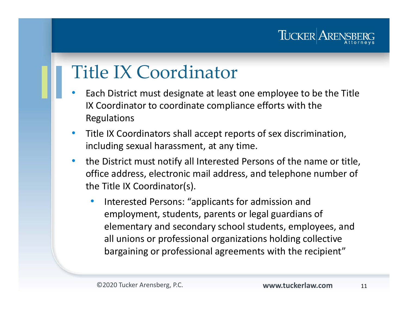

# Title IX Coordinator

- • Each District must designate at least one employee to be the Title IX Coordinator to coordinate compliance efforts with the Regulations
- $\bullet$  Title IX Coordinators shall accept reports of sex discrimination, including sexual harassment, at any time.
- $\bullet$  the District must notify all Interested Persons of the name or title, office address, electronic mail address, and telephone number of the Title IX Coordinator(s).
	- • Interested Persons: "applicants for admission and employment, students, parents or legal guardians of elementary and secondary school students, employees, and all unions or professional organizations holding collective bargaining or professional agreements with the recipient"

11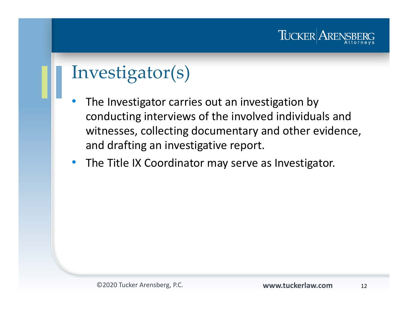

# Investigator(s)

- • The Investigator carries out an investigation by conducting interviews of the involved individuals and witnesses, collecting documentary and other evidence, and drafting an investigative report.
- The Title IX Coordinator may serve as Investigator.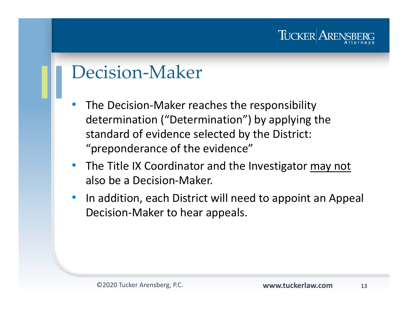#### TUCKER AREN

### Decision-Maker

- $\bullet$  The Decision-Maker reaches the responsibility determination ("Determination") by applying the standard of evidence selected by the District: "preponderance of the evidence"
- The Title IX Coordinator and the Investigator may not also be a Decision-Maker.
- $\bullet$  In addition, each District will need to appoint an Appeal Decision-Maker to hear appeals.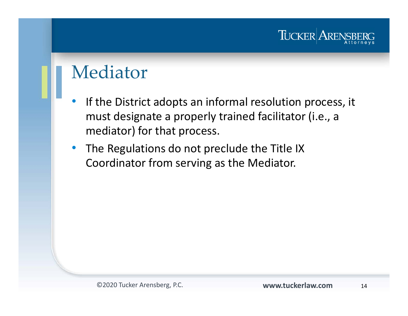

#### Mediator

- $\bullet$  If the District adopts an informal resolution process, it must designate a properly trained facilitator (i.e., a mediator) for that process.
- The Regulations do not preclude the Title IX Coordinator from serving as the Mediator.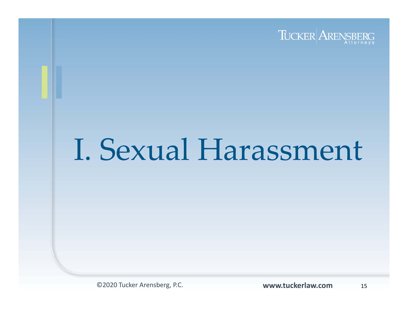

# I. Sexual Harassment

©2020 Tucker Arensberg, P.C. **www.tuckerlaw.com**

15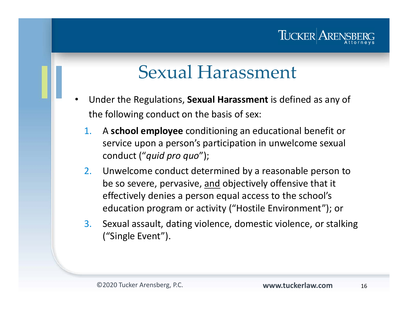#### TUCKER AREN

# Sexual Harassment

- • Under the Regulations, **Sexual Harassment** is defined as any of the following conduct on the basis of sex:
	- 1. A **school employee** conditioning an educational benefit or service upon a person's participation in unwelcome sexual conduct ("*quid pro quo*");
	- 2. Unwelcome conduct determined by a reasonable person to be so severe, pervasive, and objectively offensive that it effectively denies a person equal access to the school's education program or activity ("Hostile Environment"); or
	- 3. Sexual assault, dating violence, domestic violence, or stalking ("Single Event").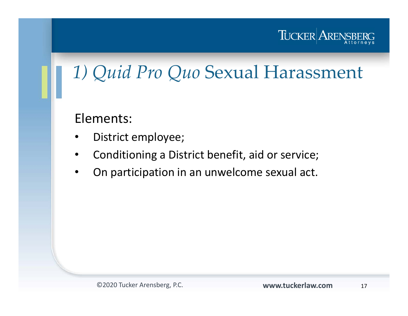

# *1) Quid Pro Quo* Sexual Harassment

Elements:

- •District employee;
- •Conditioning a District benefit, aid or service;
- $\bullet$ On participation in an unwelcome sexual act.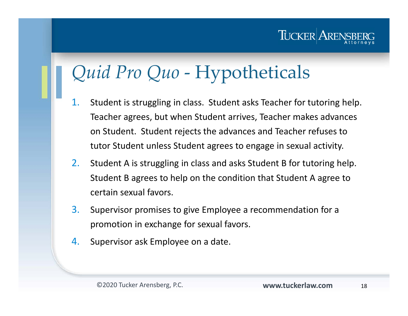# *Quid Pro Quo* - Hypotheticals

- 1. Student is struggling in class. Student asks Teacher for tutoring help. Teacher agrees, but when Student arrives, Teacher makes advances on Student. Student rejects the advances and Teacher refuses to tutor Student unless Student agrees to engage in sexual activity.
- 2. Student A is struggling in class and asks Student B for tutoring help. Student B agrees to help on the condition that Student A agree to certain sexual favors.
- 3. Supervisor promises to give Employee a recommendation for a promotion in exchange for sexual favors.
- 4.Supervisor ask Employee on a date.

TUCKER AREN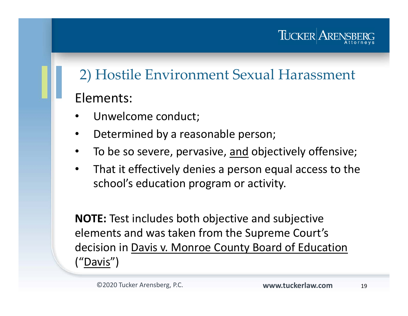#### TUCKER AREN

#### 2) Hostile Environment Sexual Harassment

#### Elements:

- •Unwelcome conduct;
- •Determined by a reasonable person;
- •To be so severe, pervasive, and objectively offensive;
- $\bullet$  That it effectively denies a person equal access to the school's education program or activity.

**NOTE:** Test includes both objective and subjective elements and was taken from the Supreme Court's decision in Davis v. Monroe County Board of Education ("Davis")

19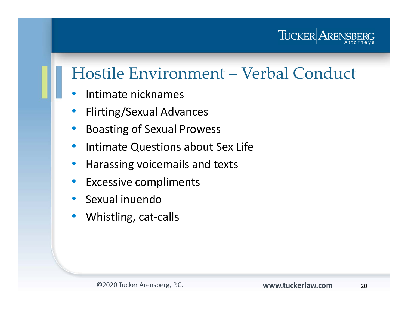

#### Hostile Environment – Verbal Conduct

- $\bullet$ Intimate nicknames
- $\bullet$ Flirting/Sexual Advances
- $\bullet$ Boasting of Sexual Prowess
- $\bullet$ Intimate Questions about Sex Life
- •Harassing voicemails and texts
- $\bullet$ Excessive compliments
- $\bullet$ Sexual inuendo
- $\bullet$ Whistling, cat-calls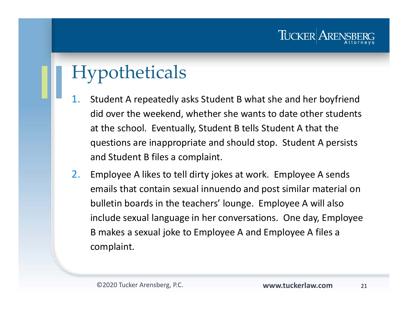# Hypotheticals

- 1. Student A repeatedly asks Student B what she and her boyfriend did over the weekend, whether she wants to date other students at the school. Eventually, Student B tells Student A that the questions are inappropriate and should stop. Student A persists and Student B files a complaint.
- 2. Employee A likes to tell dirty jokes at work. Employee A sends emails that contain sexual innuendo and post similar material on bulletin boards in the teachers' lounge. Employee A will also include sexual language in her conversations. One day, Employee B makes a sexual joke to Employee A and Employee A files a complaint.

TUCKER AREN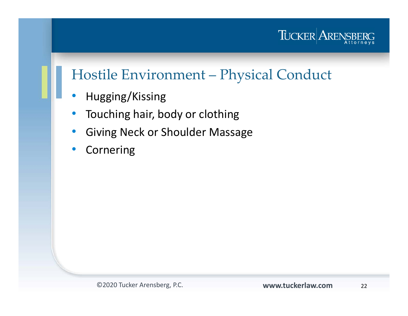

#### Hostile Environment – Physical Conduct

- $\bullet$ Hugging/Kissing
- $\bullet$ Touching hair, body or clothing
- •Giving Neck or Shoulder Massage
- $\bullet$ Cornering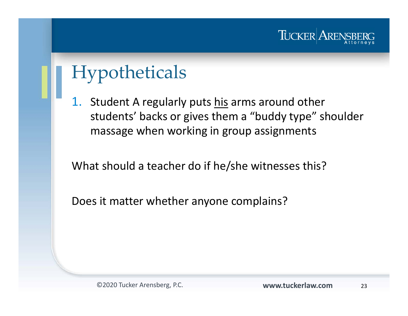

# Hypotheticals

1.Student A regularly puts his arms around other students' backs or gives them a "buddy type" shoulder massage when working in group assignments

What should a teacher do if he/she witnesses this?

Does it matter whether anyone complains?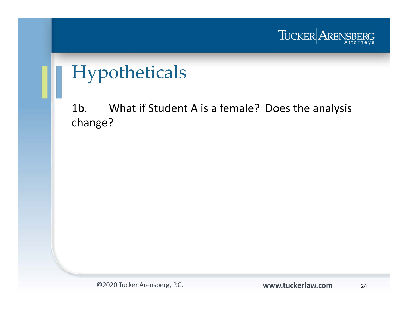

# Hypotheticals

1b. What if Student A is a female? Does the analysis change?

©2020 Tucker Arensberg, P.C. **www.tuckerlaw.com**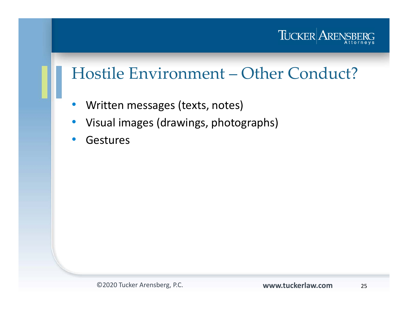

#### Hostile Environment – Other Conduct?

- $\bullet$ Written messages (texts, notes)
- $\bullet$ Visual images (drawings, photographs)
- $\bullet$ Gestures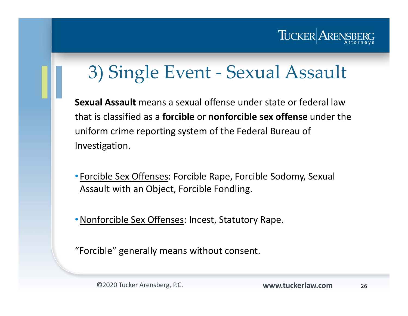

# 3) Single Event - Sexual Assault

**Sexual Assault** means a sexual offense under state or federal law that is classified as a **forcible** or **nonforcible sex offense** under the uniform crime reporting system of the Federal Bureau of Investigation.

• Forcible Sex Offenses: Forcible Rape, Forcible Sodomy, Sexual Assault with an Object, Forcible Fondling.

•Nonforcible Sex Offenses: Incest, Statutory Rape.

"Forcible" generally means without consent.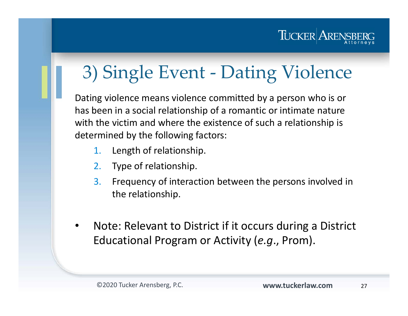

# 3) Single Event - Dating Violence

Dating violence means violence committed by a person who is or has been in a social relationship of a romantic or intimate nature with the victim and where the existence of such a relationship is determined by the following factors:

- 1.Length of relationship.
- 2.Type of relationship.
- 3. Frequency of interaction between the persons involved in the relationship.
- • Note: Relevant to District if it occurs during a District Educational Program or Activity (*e.g*., Prom).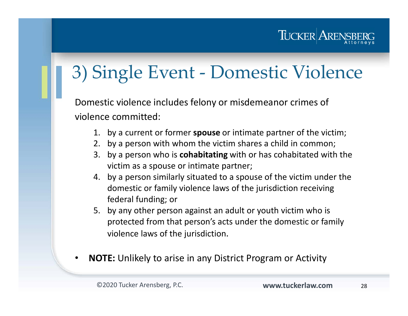#### TUCKER ARENS

# 3) Single Event - Domestic Violence

Domestic violence includes felony or misdemeanor crimes of violence committed:

- 1. by a current or former **spouse** or intimate partner of the victim;
- 2. by a person with whom the victim shares a child in common;
- 3. by a person who is **cohabitating** with or has cohabitated with the victim as a spouse or intimate partner;
- 4. by a person similarly situated to a spouse of the victim under the domestic or family violence laws of the jurisdiction receiving federal funding; or
- 5. by any other person against an adult or youth victim who is protected from that person's acts under the domestic or family violence laws of the jurisdiction.
- •**NOTE:** Unlikely to arise in any District Program or Activity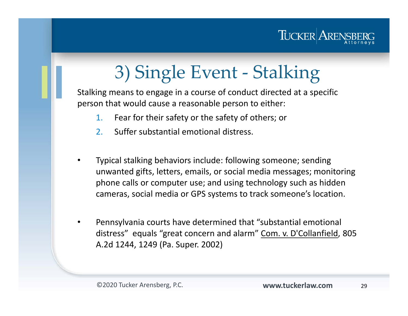

# 3) Single Event - Stalking

Stalking means to engage in a course of conduct directed at a specific person that would cause a reasonable person to either:

- 1.Fear for their safety or the safety of others; or
- 2.Suffer substantial emotional distress.
- • Typical stalking behaviors include: following someone; sending unwanted gifts, letters, emails, or social media messages; monitoring phone calls or computer use; and using technology such as hidden cameras, social media or GPS systems to track someone's location.
- • Pennsylvania courts have determined that "substantial emotional distress" equals "great concern and alarm" Com. v. D'Collanfield, 805 A.2d 1244, 1249 (Pa. Super. 2002)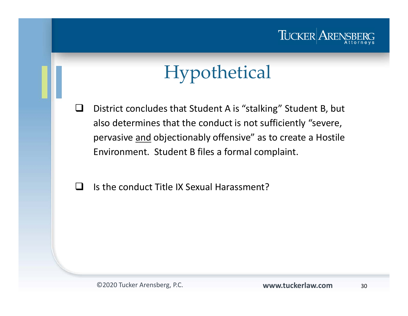#### TUCKER ARENS!

# Hypothetical

- $\Box$  District concludes that Student A is "stalking" Student B, but also determines that the conduct is not sufficiently "severe, pervasive and objectionably offensive" as to create a Hostile Environment. Student B files a formal complaint.
- H Is the conduct Title IX Sexual Harassment?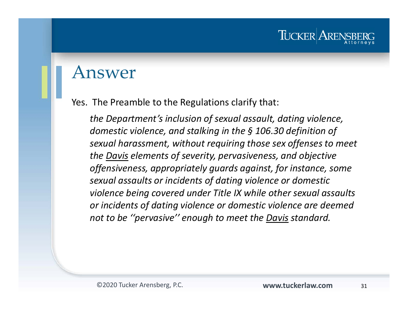#### Answer

Yes. The Preamble to the Regulations clarify that:

*the Department's inclusion of sexual assault, dating violence, domestic violence, and stalking in the § 106.30 definition of sexual harassment, without requiring those sex offenses to meet the Davis elements of severity, pervasiveness, and objective offensiveness, appropriately guards against, for instance, some sexual assaults or incidents of dating violence or domestic violence being covered under Title IX while other sexual assaults or incidents of dating violence or domestic violence are deemed not to be ''pervasive'' enough to meet the Davis standard.* 

TUCKER ARE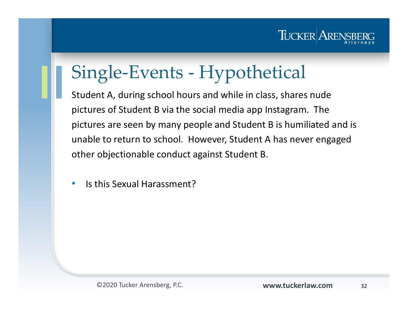

# Single-Events - Hypothetical

Student A, during school hours and while in class, shares nude pictures of Student B via the social media app Instagram. The pictures are seen by many people and Student B is humiliated and is unable to return to school. However, Student A has never engaged other objectionable conduct against Student B.

 $\bullet$ Is this Sexual Harassment?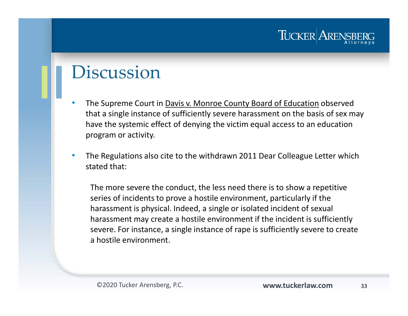### Discussion

- •The Supreme Court in Davis v. Monroe County Board of Education observed that a single instance of sufficiently severe harassment on the basis of sex may have the systemic effect of denying the victim equal access to an education program or activity.
- $\bullet$  The Regulations also cite to the withdrawn 2011 Dear Colleague Letter which stated that:

The more severe the conduct, the less need there is to show a repetitive series of incidents to prove a hostile environment, particularly if the harassment is physical. Indeed, a single or isolated incident of sexual harassment may create a hostile environment if the incident is sufficiently severe. For instance, a single instance of rape is sufficiently severe to create a hostile environment.

TUCKER AREN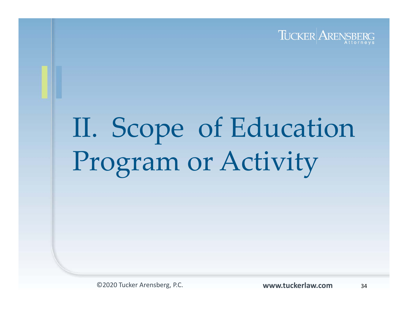

# II. Scope of Education Program or Activity

©2020 Tucker Arensberg, P.C. **www.tuckerlaw.com**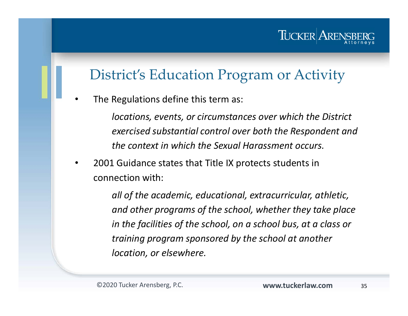#### District's Education Program or Activity

•The Regulations define this term as:

> *locations, events, or circumstances over which the District exercised substantial control over both the Respondent and the context in which the Sexual Harassment occurs.*

• 2001 Guidance states that Title IX protects students in connection with:

> *all of the academic, educational, extracurricular, athletic, and other programs of the school, whether they take place in the facilities of the school, on a school bus, at a class or training program sponsored by the school at another location, or elsewhere.*

TUCKER ARE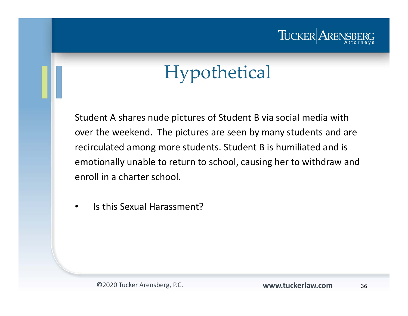

# Hypothetical

Student A shares nude pictures of Student B via social media with over the weekend. The pictures are seen by many students and are recirculated among more students. Student B is humiliated and is emotionally unable to return to school, causing her to withdraw and enroll in a charter school.

•Is this Sexual Harassment?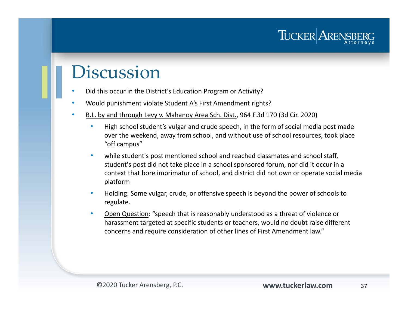### Discussion

- •Did this occur in the District's Education Program or Activity?
- •Would punishment violate Student A's First Amendment rights?
- • B.L. by and through Levy v. Mahanoy Area Sch. Dist., 964 F.3d 170 (3d Cir. 2020)
	- • High school student's vulgar and crude speech, in the form of social media post made over the weekend, away from school, and without use of school resources, took place "off campus"
	- • while student's post mentioned school and reached classmates and school staff, student's post did not take place in a school sponsored forum, nor did it occur in a context that bore imprimatur of school, and district did not own or operate social media platform
	- • Holding: Some vulgar, crude, or offensive speech is beyond the power of schools to regulate.
	- • Open Question: "speech that is reasonably understood as a threat of violence or harassment targeted at specific students or teachers, would no doubt raise different concerns and require consideration of other lines of First Amendment law."

TUCKER ARENS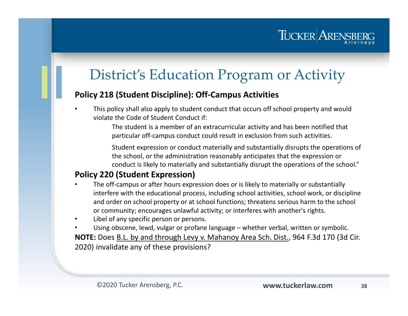#### District's Education Program or Activity

#### **Policy 218 (Student Discipline): Off-Campus Activities**

• This policy shall also apply to student conduct that occurs off school property and would violate the Code of Student Conduct if:

> The student is a member of an extracurricular activity and has been notified that particular off-campus conduct could result in exclusion from such activities.

Student expression or conduct materially and substantially disrupts the operations of the school, or the administration reasonably anticipates that the expression or conduct is likely to materially and substantially disrupt the operations of the school."

#### **Policy 220 (Student Expression)**

- • The off-campus or after hours expression does or is likely to materially or substantially interfere with the educational process, including school activities, school work, or discipline and order on school property or at school functions; threatens serious harm to the school or community; encourages unlawful activity; or interferes with another's rights.
- •Libel of any specific person or persons.
- • Using obscene, lewd, vulgar or profane language – whether verbal, written or symbolic. **NOTE:** Does B.L. by and through Levy v. Mahanoy Area Sch. Dist., 964 F.3d 170 (3d Cir. 2020) invalidate any of these provisions?

TUCKER ARENS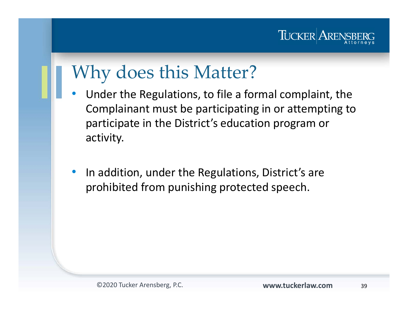

## Why does this Matter?

- • Under the Regulations, to file a formal complaint, the Complainant must be participating in or attempting to participate in the District's education program or activity.
- $\bullet$  In addition, under the Regulations, District's are prohibited from punishing protected speech.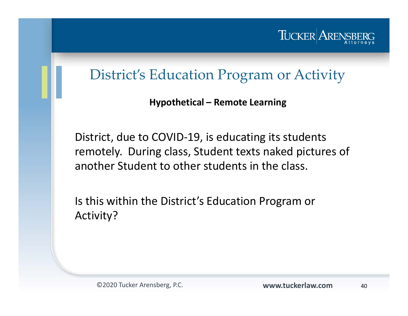

#### District's Education Program or Activity

**Hypothetical – Remote Learning**

District, due to COVID-19, is educating its students remotely. During class, Student texts naked pictures of another Student to other students in the class.

Is this within the District's Education Program or Activity?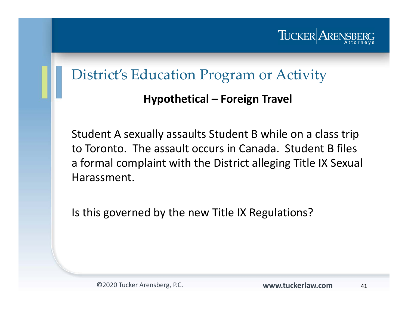

#### District's Education Program or Activity

#### **Hypothetical – Foreign Travel**

Student A sexually assaults Student B while on a class trip to Toronto. The assault occurs in Canada. Student B files a formal complaint with the District alleging Title IX Sexual Harassment.

Is this governed by the new Title IX Regulations?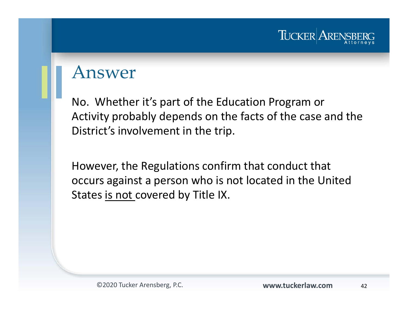

#### Answer

No. Whether it's part of the Education Program or Activity probably depends on the facts of the case and the District's involvement in the trip.

However, the Regulations confirm that conduct that occurs against a person who is not located in the United States is not covered by Title IX.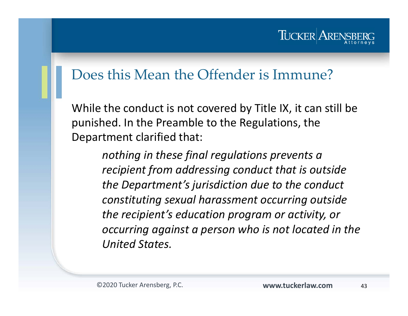#### TUCKER ARE

#### Does this Mean the Offender is Immune?

While the conduct is not covered by Title IX, it can still be punished. In the Preamble to the Regulations, the Department clarified that:

> *nothing in these final regulations prevents a recipient from addressing conduct that is outside the Department's jurisdiction due to the conduct constituting sexual harassment occurring outside the recipient's education program or activity, or occurring against a person who is not located in the United States.*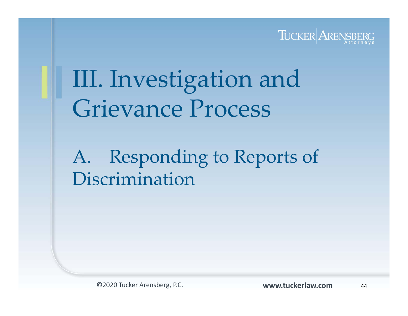

III. Investigation and Grievance Process

A. Responding to Reports of Discrimination

©2020 Tucker Arensberg, P.C. **www.tuckerlaw.com**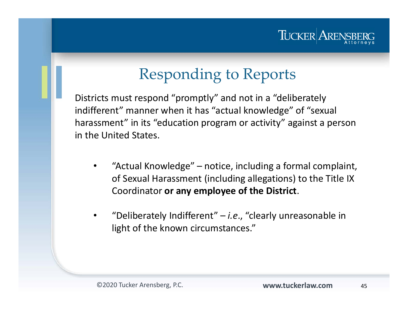

### Responding to Reports

Districts must respond "promptly" and not in a "deliberately indifferent" manner when it has "actual knowledge" of "sexual harassment" in its "education program or activity" against a person in the United States.

- $\bullet$  "Actual Knowledge" – notice, including a formal complaint, of Sexual Harassment (including allegations) to the Title IX Coordinator **or any employee of the District**.
- • "Deliberately Indifferent" – *i.e*., "clearly unreasonable in light of the known circumstances."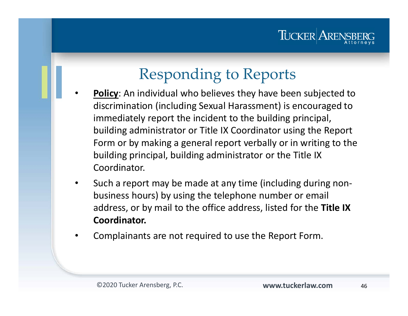# Responding to Reports

- • **Policy**: An individual who believes they have been subjected to discrimination (including Sexual Harassment) is encouraged to immediately report the incident to the building principal, building administrator or Title IX Coordinator using the Report Form or by making a general report verbally or in writing to the building principal, building administrator or the Title IX Coordinator.
- • Such a report may be made at any time (including during nonbusiness hours) by using the telephone number or email address, or by mail to the office address, listed for the **Title IX Coordinator.**
- •Complainants are not required to use the Report Form.

TUCKER AREN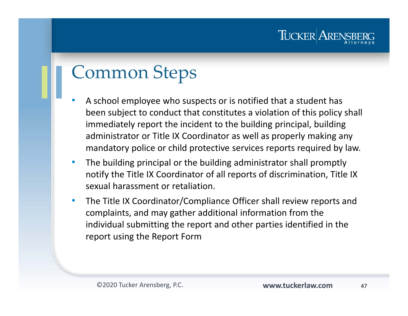### TUCKER AREN

## Common Steps

- • A school employee who suspects or is notified that a student has been subject to conduct that constitutes a violation of this policy shall immediately report the incident to the building principal, building administrator or Title IX Coordinator as well as properly making any mandatory police or child protective services reports required by law.
- $\bullet$  The building principal or the building administrator shall promptly notify the Title IX Coordinator of all reports of discrimination, Title IX sexual harassment or retaliation.
- $\bullet$  The Title IX Coordinator/Compliance Officer shall review reports and complaints, and may gather additional information from the individual submitting the report and other parties identified in the report using the Report Form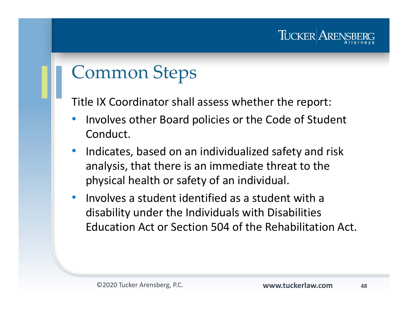#### TUCKER AREN

## Common Steps

Title IX Coordinator shall assess whether the report:

- • Involves other Board policies or the Code of Student Conduct.
- $\bullet$  Indicates, based on an individualized safety and risk analysis, that there is an immediate threat to the physical health or safety of an individual.
- $\bullet$  Involves a student identified as a student with a disability under the Individuals with Disabilities Education Act or Section 504 of the Rehabilitation Act.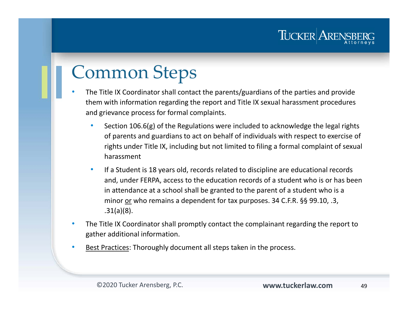## Common Steps

•

- The Title IX Coordinator shall contact the parents/guardians of the parties and provide them with information regarding the report and Title IX sexual harassment procedures and grievance process for formal complaints.
	- • Section 106.6(g) of the Regulations were included to acknowledge the legal rights of parents and guardians to act on behalf of individuals with respect to exercise of rights under Title IX, including but not limited to filing a formal complaint of sexual harassment
	- • If a Student is 18 years old, records related to discipline are educational records and, under FERPA, access to the education records of a student who is or has been in attendance at a school shall be granted to the parent of a student who is a minor or who remains a dependent for tax purposes. 34 C.F.R. §§ 99.10, .3, .31(a)(8).
- • The Title IX Coordinator shall promptly contact the complainant regarding the report to gather additional information.
- •Best Practices: Thoroughly document all steps taken in the process.

TUCKER AREN!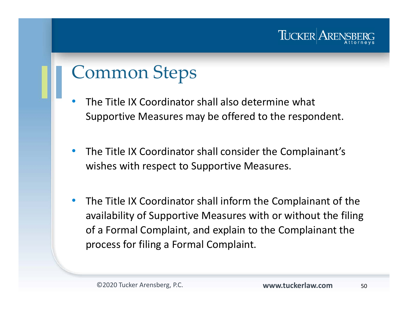

## Common Steps

- • The Title IX Coordinator shall also determine what Supportive Measures may be offered to the respondent.
- $\bullet$  The Title IX Coordinator shall consider the Complainant's wishes with respect to Supportive Measures.
- $\bullet$  The Title IX Coordinator shall inform the Complainant of the availability of Supportive Measures with or without the filing of a Formal Complaint, and explain to the Complainant the process for filing a Formal Complaint.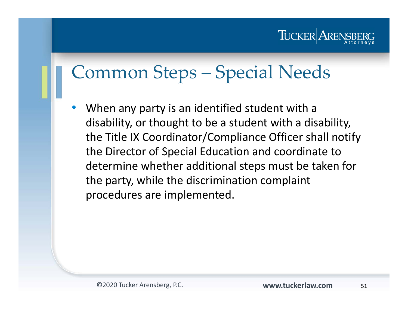

## Common Steps – Special Needs

• When any party is an identified student with a disability, or thought to be a student with a disability, the Title IX Coordinator/Compliance Officer shall notify the Director of Special Education and coordinate to determine whether additional steps must be taken for the party, while the discrimination complaint procedures are implemented.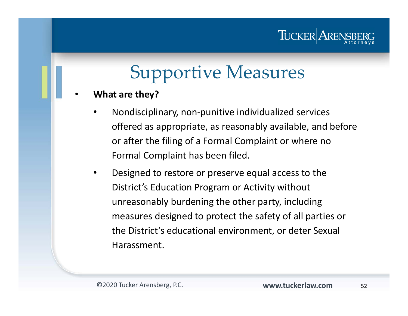#### TUCKER ARE

## Supportive Measures

- • **What are they?**
	- • Nondisciplinary, non-punitive individualized services offered as appropriate, as reasonably available, and before or after the filing of a Formal Complaint or where no Formal Complaint has been filed.
	- • Designed to restore or preserve equal access to the District's Education Program or Activity without unreasonably burdening the other party, including measures designed to protect the safety of all parties or the District's educational environment, or deter Sexual Harassment.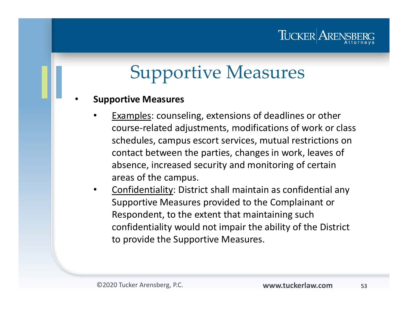#### TUCKER AREN

# Supportive Measures

•**Supportive Measures**

- • Examples: counseling, extensions of deadlines or other course-related adjustments, modifications of work or class schedules, campus escort services, mutual restrictions on contact between the parties, changes in work, leaves of absence, increased security and monitoring of certain areas of the campus.
- • Confidentiality: District shall maintain as confidential any Supportive Measures provided to the Complainant or Respondent, to the extent that maintaining such confidentiality would not impair the ability of the District to provide the Supportive Measures.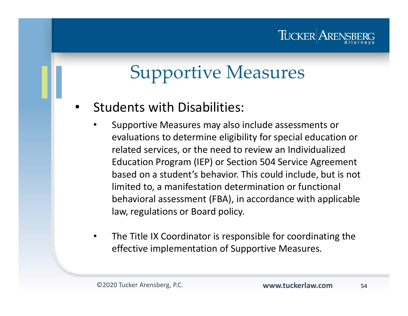#### TUCKER AREN

## Supportive Measures

•Students with Disabilities:

- • Supportive Measures may also include assessments or evaluations to determine eligibility for special education or related services, or the need to review an Individualized Education Program (IEP) or Section 504 Service Agreement based on a student's behavior. This could include, but is not limited to, a manifestation determination or functional behavioral assessment (FBA), in accordance with applicable law, regulations or Board policy.
- • The Title IX Coordinator is responsible for coordinating the effective implementation of Supportive Measures.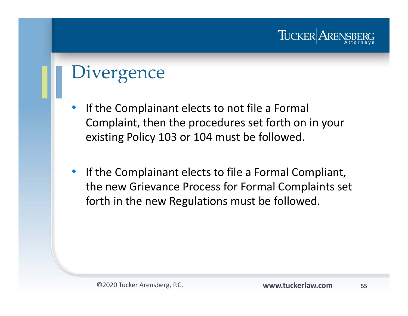# **Divergence**

- $\bullet$  If the Complainant elects to not file a Formal Complaint, then the procedures set forth on in your existing Policy 103 or 104 must be followed.
- $\bullet$  If the Complainant elects to file a Formal Compliant, the new Grievance Process for Formal Complaints set forth in the new Regulations must be followed.

TUCKER AREN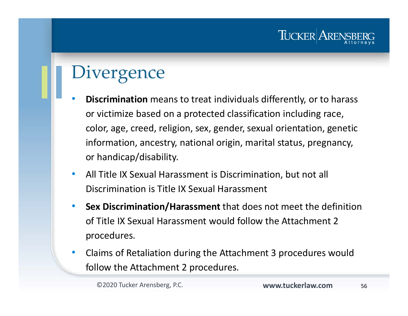### **Divergence**

- • **Discrimination** means to treat individuals differently, or to harass or victimize based on a protected classification including race, color, age, creed, religion, sex, gender, sexual orientation, genetic information, ancestry, national origin, marital status, pregnancy, or handicap/disability.
- $\bullet$  All Title IX Sexual Harassment is Discrimination, but not all Discrimination is Title IX Sexual Harassment
- $\bullet$  **Sex Discrimination/Harassment** that does not meet the definition of Title IX Sexual Harassment would follow the Attachment 2 procedures.
- $\bullet$  Claims of Retaliation during the Attachment 3 procedures would follow the Attachment 2 procedures.

TUCKER AREN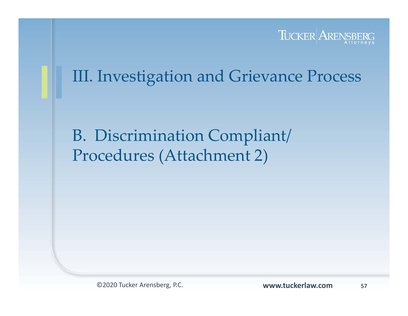

#### III. Investigation and Grievance Process

B. Discrimination Compliant/ Procedures (Attachment 2)

©2020 Tucker Arensberg, P.C. **www.tuckerlaw.com**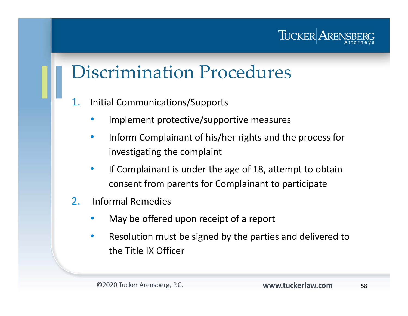

- 1. Initial Communications/Supports
	- •Implement protective/supportive measures
	- $\bullet$  Inform Complainant of his/her rights and the process for investigating the complaint
	- $\bullet$  If Complainant is under the age of 18, attempt to obtain consent from parents for Complainant to participate
- 2. Informal Remedies
	- •May be offered upon receipt of a report
	- • Resolution must be signed by the parties and delivered to the Title IX Officer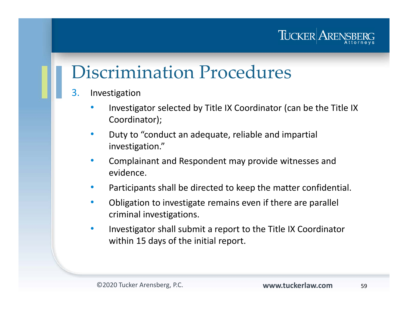

- 3. Investigation
	- • Investigator selected by Title IX Coordinator (can be the Title IX Coordinator);
	- • Duty to "conduct an adequate, reliable and impartial investigation."
	- • Complainant and Respondent may provide witnesses and evidence.
	- •Participants shall be directed to keep the matter confidential.
	- • Obligation to investigate remains even if there are parallel criminal investigations.
	- • Investigator shall submit a report to the Title IX Coordinator within 15 days of the initial report.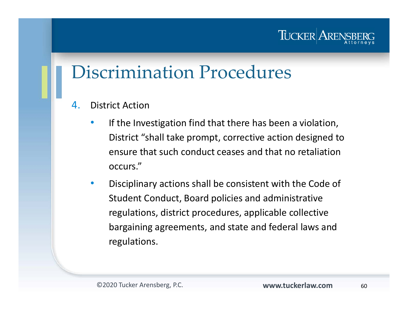#### TUCKER ARE

- 4. District Action
	- • If the Investigation find that there has been a violation, District "shall take prompt, corrective action designed to ensure that such conduct ceases and that no retaliation occurs."
	- • Disciplinary actions shall be consistent with the Code of Student Conduct, Board policies and administrative regulations, district procedures, applicable collective bargaining agreements, and state and federal laws and regulations.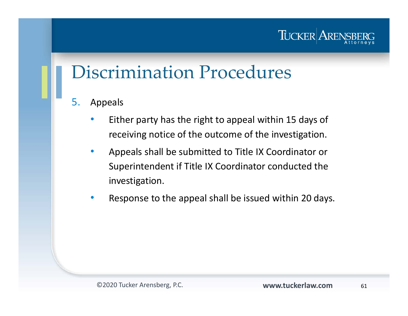

- 5. Appeals
	- • Either party has the right to appeal within 15 days of receiving notice of the outcome of the investigation.
	- $\bullet$  Appeals shall be submitted to Title IX Coordinator or Superintendent if Title IX Coordinator conducted the investigation.
	- $\bullet$ Response to the appeal shall be issued within 20 days.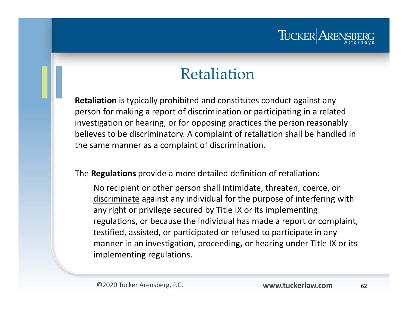#### TUCKER AREN

#### Retaliation

**Retaliation** is typically prohibited and constitutes conduct against any person for making a report of discrimination or participating in a related investigation or hearing, or for opposing practices the person reasonably believes to be discriminatory. A complaint of retaliation shall be handled in the same manner as a complaint of discrimination.

The **Regulations** provide a more detailed definition of retaliation:

No recipient or other person shall intimidate, threaten, coerce, or discriminate against any individual for the purpose of interfering with any right or privilege secured by Title IX or its implementing regulations, or because the individual has made a report or complaint, testified, assisted, or participated or refused to participate in any manner in an investigation, proceeding, or hearing under Title IX or its implementing regulations.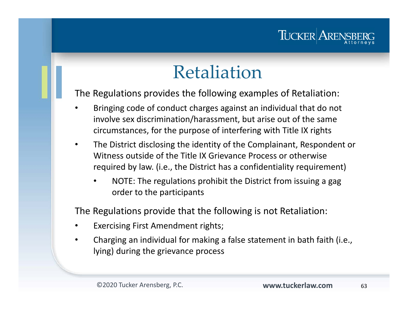### TUCKER ARE

## Retaliation

The Regulations provides the following examples of Retaliation:

- • Bringing code of conduct charges against an individual that do not involve sex discrimination/harassment, but arise out of the same circumstances, for the purpose of interfering with Title IX rights
- • The District disclosing the identity of the Complainant, Respondent or Witness outside of the Title IX Grievance Process or otherwise required by law. (i.e., the District has a confidentiality requirement)
	- • NOTE: The regulations prohibit the District from issuing a gag order to the participants

The Regulations provide that the following is not Retaliation:

- •Exercising First Amendment rights;
- $\bullet$  Charging an individual for making a false statement in bath faith (i.e., lying) during the grievance process

63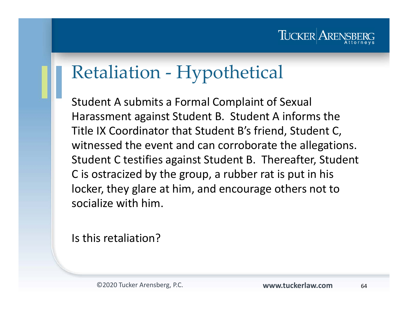#### TUCKER AREN

## Retaliation - Hypothetical

Student A submits a Formal Complaint of Sexual Harassment against Student B. Student A informs the Title IX Coordinator that Student B's friend, Student C, witnessed the event and can corroborate the allegations. Student C testifies against Student B. Thereafter, Student C is ostracized by the group, a rubber rat is put in his locker, they glare at him, and encourage others not to socialize with him.

Is this retaliation?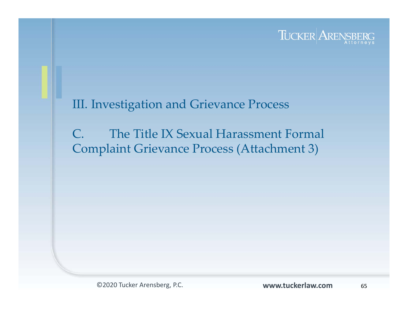

#### III. Investigation and Grievance Process

C. The Title IX Sexual Harassment Formal Complaint Grievance Process (Attachment 3)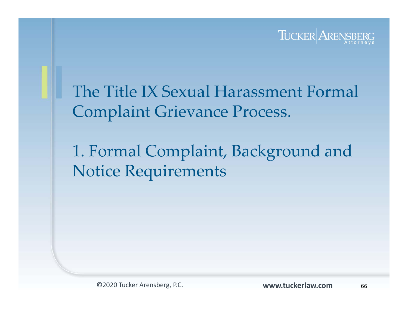

#### The Title IX Sexual Harassment Formal Complaint Grievance Process.

### 1. Formal Complaint, Background and Notice Requirements

©2020 Tucker Arensberg, P.C. **www.tuckerlaw.com**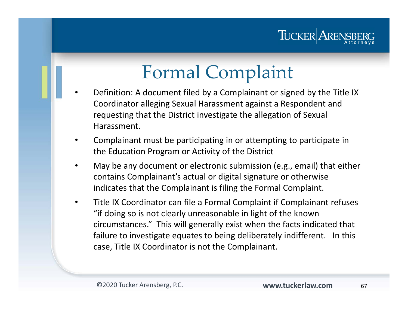

## Formal Complaint

- • Definition: A document filed by a Complainant or signed by the Title IX Coordinator alleging Sexual Harassment against a Respondent and requesting that the District investigate the allegation of Sexual Harassment.
- • Complainant must be participating in or attempting to participate in the Education Program or Activity of the District
- • May be any document or electronic submission (e.g., email) that either contains Complainant's actual or digital signature or otherwise indicates that the Complainant is filing the Formal Complaint.
- • Title IX Coordinator can file a Formal Complaint if Complainant refuses "if doing so is not clearly unreasonable in light of the known circumstances." This will generally exist when the facts indicated that failure to investigate equates to being deliberately indifferent. In this case, Title IX Coordinator is not the Complainant.

67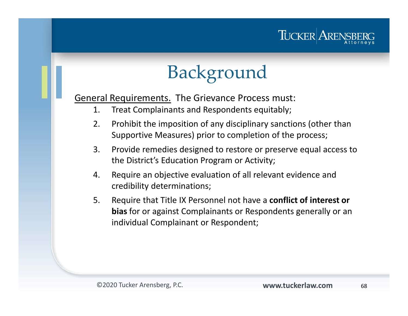

# Background

General Requirements. The Grievance Process must:

- 1. Treat Complainants and Respondents equitably;
- 2. Prohibit the imposition of any disciplinary sanctions (other than Supportive Measures) prior to completion of the process;
- 3. Provide remedies designed to restore or preserve equal access to the District's Education Program or Activity;
- 4. Require an objective evaluation of all relevant evidence and credibility determinations;
- 5. Require that Title IX Personnel not have a **conflict of interest or bias** for or against Complainants or Respondents generally or an individual Complainant or Respondent;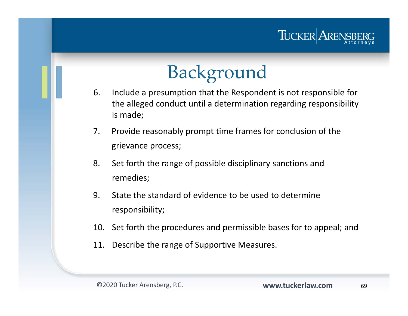

## Background

- 6. Include a presumption that the Respondent is not responsible for the alleged conduct until a determination regarding responsibility is made;
- 7. Provide reasonably prompt time frames for conclusion of the grievance process;
- 8. Set forth the range of possible disciplinary sanctions and remedies;
- 9. State the standard of evidence to be used to determine responsibility;
- 10. Set forth the procedures and permissible bases for to appeal; and
- 11. Describe the range of Supportive Measures.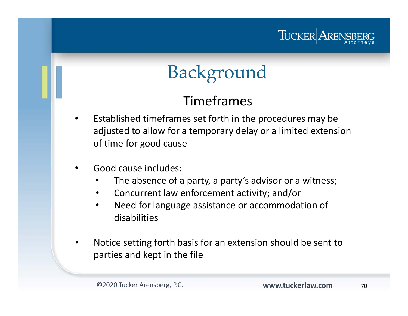

## Background

#### Timeframes

- • Established timeframes set forth in the procedures may be adjusted to allow for a temporary delay or a limited extension of time for good cause
- • Good cause includes:
	- •The absence of a party, a party's advisor or a witness;
	- $\bullet$ Concurrent law enforcement activity; and/or
	- $\bullet$  Need for language assistance or accommodation of disabilities
- • Notice setting forth basis for an extension should be sent to parties and kept in the file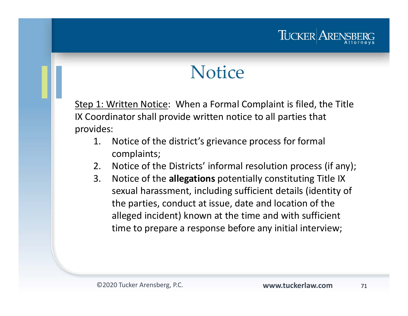#### TUCKER ARE

## **Notice**

Step 1: Written Notice: When a Formal Complaint is filed, the Title IX Coordinator shall provide written notice to all parties that provides:

- 1. Notice of the district's grievance process for formal complaints;
- 2. Notice of the Districts' informal resolution process (if any);
- 3. Notice of the **allegations** potentially constituting Title IX sexual harassment, including sufficient details (identity of the parties, conduct at issue, date and location of the alleged incident) known at the time and with sufficient time to prepare a response before any initial interview;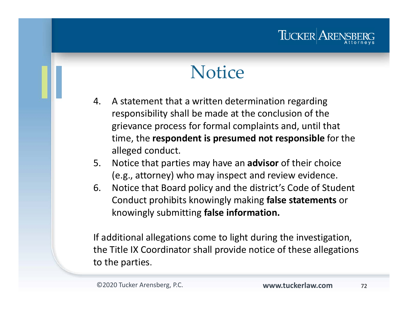### TUCKER ARE

## **Notice**

- 4. A statement that a written determination regarding responsibility shall be made at the conclusion of the grievance process for formal complaints and, until that time, the **respondent is presumed not responsible** for the alleged conduct.
- 5. Notice that parties may have an **advisor** of their choice (e.g., attorney) who may inspect and review evidence.
- 6. Notice that Board policy and the district's Code of Student Conduct prohibits knowingly making **false statements** or knowingly submitting **false information.**

If additional allegations come to light during the investigation, the Title IX Coordinator shall provide notice of these allegations to the parties.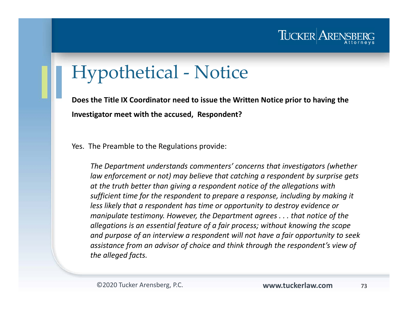

## Hypothetical - Notice

**Does the Title IX Coordinator need to issue the Written Notice prior to having the Investigator meet with the accused, Respondent?**

Yes. The Preamble to the Regulations provide:

*The Department understands commenters' concerns that investigators (whether law enforcement or not) may believe that catching a respondent by surprise gets at the truth better than giving a respondent notice of the allegations with sufficient time for the respondent to prepare a response, including by making it less likely that a respondent has time or opportunity to destroy evidence or manipulate testimony. However, the Department agrees . . . that notice of the allegations is an essential feature of a fair process; without knowing the scope and purpose of an interview a respondent will not have a fair opportunity to seek assistance from an advisor of choice and think through the respondent's view of the alleged facts.*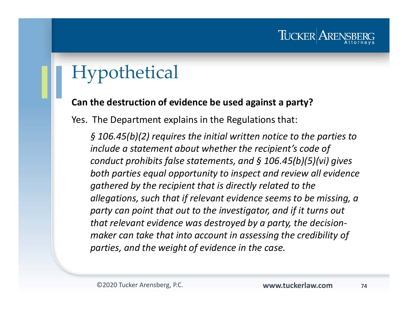## Hypothetical

#### **Can the destruction of evidence be used against a party?**

Yes. The Department explains in the Regulations that:

*§ 106.45(b)(2) requires the initial written notice to the parties to include a statement about whether the recipient's code of conduct prohibits false statements, and § 106.45(b)(5)(vi) gives both parties equal opportunity to inspect and review all evidence gathered by the recipient that is directly related to the allegations, such that if relevant evidence seems to be missing, a party can point that out to the investigator, and if it turns out that relevant evidence was destroyed by a party, the decisionmaker can take that into account in assessing the credibility of parties, and the weight of evidence in the case.*

TUCKER ARE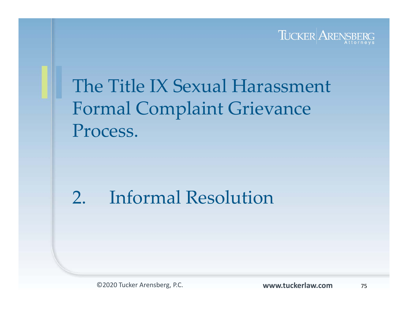

## The Title IX Sexual Harassment Formal Complaint Grievance Process.

## 2. Informal Resolution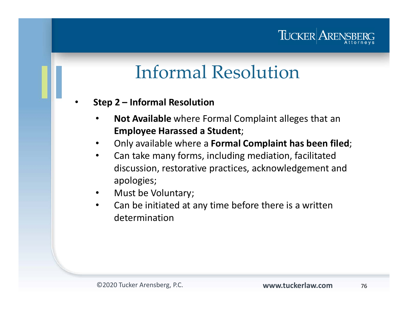### TUCKER AREN

## Informal Resolution

- • **Step 2 – Informal Resolution**
	- • **Not Available** where Formal Complaint alleges that an **Employee Harassed a Student**;
	- •Only available where a **Formal Complaint has been filed**;
	- $\bullet$  Can take many forms, including mediation, facilitated discussion, restorative practices, acknowledgement and apologies;
	- $\bullet$ Must be Voluntary;
	- • Can be initiated at any time before there is a written determination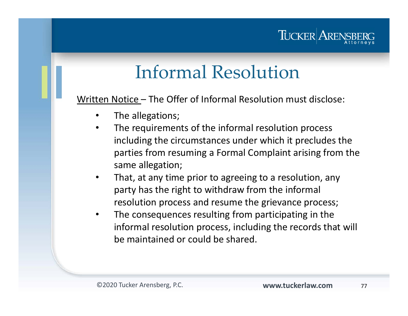### TUCKER AREN

## Informal Resolution

Written Notice – The Offer of Informal Resolution must disclose:

- •The allegations;
- • The requirements of the informal resolution process including the circumstances under which it precludes the parties from resuming a Formal Complaint arising from the same allegation;
- $\bullet$  That, at any time prior to agreeing to a resolution, any party has the right to withdraw from the informal resolution process and resume the grievance process;
- • The consequences resulting from participating in the informal resolution process, including the records that will be maintained or could be shared.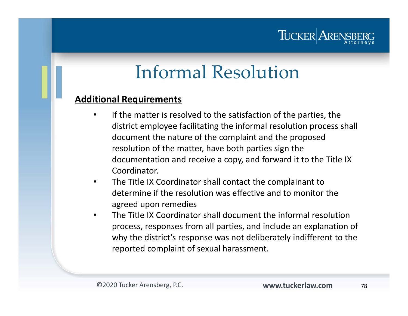

## Informal Resolution

#### **Additional Requirements**

- • If the matter is resolved to the satisfaction of the parties, the district employee facilitating the informal resolution process shall document the nature of the complaint and the proposed resolution of the matter, have both parties sign the documentation and receive a copy, and forward it to the Title IX Coordinator.
- $\bullet$  The Title IX Coordinator shall contact the complainant to determine if the resolution was effective and to monitor the agreed upon remedies
- • The Title IX Coordinator shall document the informal resolutionprocess, responses from all parties, and include an explanation of why the district's response was not deliberately indifferent to the reported complaint of sexual harassment.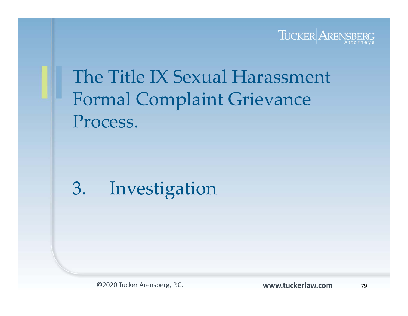

## The Title IX Sexual Harassment Formal Complaint Grievance Process.

## 3. Investigation

©2020 Tucker Arensberg, P.C. **www.tuckerlaw.com**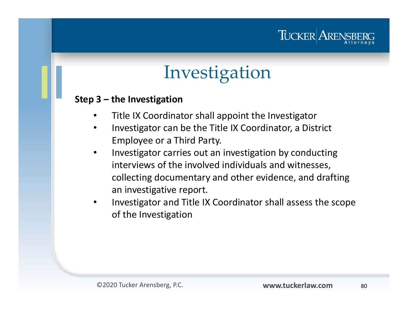### TUCKER ARENS

## Investigation

#### **Step 3 – the Investigation**

- $\bullet$ Title IX Coordinator shall appoint the Investigator
- • Investigator can be the Title IX Coordinator, a District Employee or a Third Party.
- • Investigator carries out an investigation by conducting interviews of the involved individuals and witnesses, collecting documentary and other evidence, and drafting an investigative report.
- $\bullet$  Investigator and Title IX Coordinator shall assess the scope of the Investigation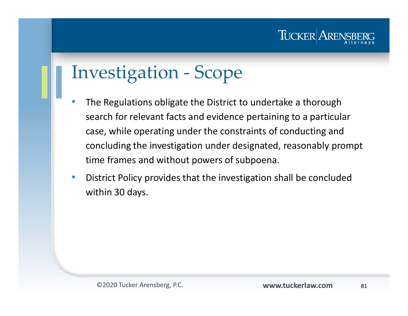

## Investigation - Scope

- • The Regulations obligate the District to undertake a thorough search for relevant facts and evidence pertaining to a particular case, while operating under the constraints of conducting and concluding the investigation under designated, reasonably prompt time frames and without powers of subpoena.
- $\bullet$  District Policy provides that the investigation shall be concluded within 30 days.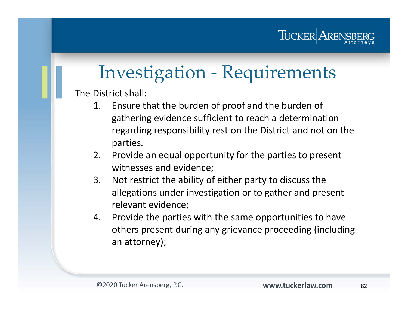

## Investigation - Requirements

The District shall:

- 1. Ensure that the burden of proof and the burden of gathering evidence sufficient to reach a determination regarding responsibility rest on the District and not on the parties.
- 2. Provide an equal opportunity for the parties to present witnesses and evidence;
- 3. Not restrict the ability of either party to discuss the allegations under investigation or to gather and present relevant evidence;
- 4. Provide the parties with the same opportunities to have others present during any grievance proceeding (including an attorney);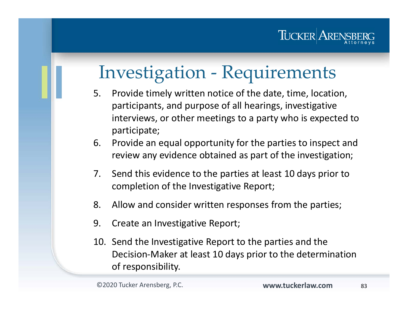

## Investigation - Requirements

- 5. Provide timely written notice of the date, time, location, participants, and purpose of all hearings, investigative interviews, or other meetings to a party who is expected to participate;
- 6. Provide an equal opportunity for the parties to inspect and review any evidence obtained as part of the investigation;
- 7. Send this evidence to the parties at least 10 days prior to completion of the Investigative Report;
- 8. Allow and consider written responses from the parties;
- 9. Create an Investigative Report;
- 10. Send the Investigative Report to the parties and the Decision-Maker at least 10 days prior to the determination of responsibility.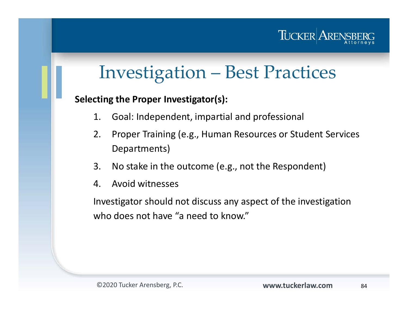

#### **Selecting the Proper Investigator(s):**

- 1. Goal: Independent, impartial and professional
- 2. Proper Training (e.g., Human Resources or Student Services Departments)
- 3. No stake in the outcome (e.g., not the Respondent)
- 4. Avoid witnesses

Investigator should not discuss any aspect of the investigation who does not have "a need to know."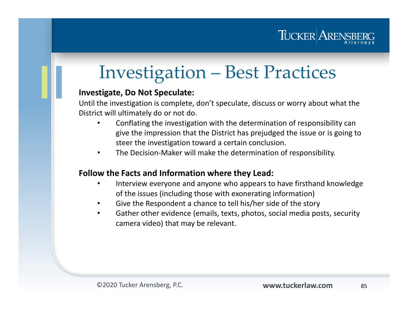

#### **Investigate, Do Not Speculate:**

Until the investigation is complete, don't speculate, discuss or worry about what the District will ultimately do or not do.

- • Conflating the investigation with the determination of responsibility can give the impression that the District has prejudged the issue or is going to steer the investigation toward a certain conclusion.
- •The Decision-Maker will make the determination of responsibility.

#### **Follow the Facts and Information where they Lead:**

- • Interview everyone and anyone who appears to have firsthand knowledge of the issues (including those with exonerating information)
- •Give the Respondent a chance to tell his/her side of the story
- • Gather other evidence (emails, texts, photos, social media posts, security camera video) that may be relevant.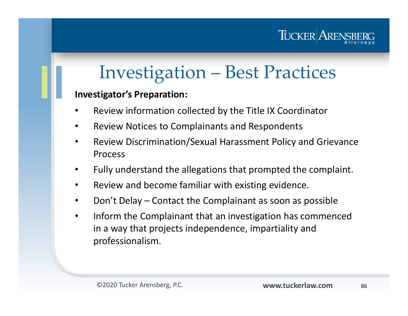

#### **Investigator's Preparation:**

- •Review information collected by the Title IX Coordinator
- •Review Notices to Complainants and Respondents
- • Review Discrimination/Sexual Harassment Policy and Grievance Process
- •Fully understand the allegations that prompted the complaint.
- •Review and become familiar with existing evidence.
- •Don't Delay – Contact the Complainant as soon as possible
- • Inform the Complainant that an investigation has commenced in a way that projects independence, impartiality and professionalism.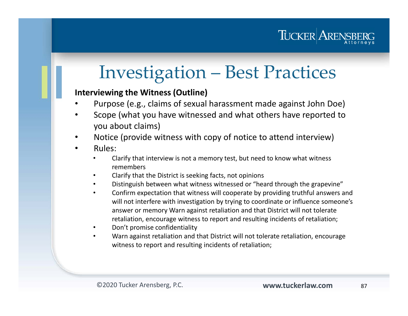

#### **Interviewing the Witness (Outline)**

- •Purpose (e.g., claims of sexual harassment made against John Doe)
- • Scope (what you have witnessed and what others have reported to you about claims)
- •Notice (provide witness with copy of notice to attend interview)
- • Rules:
	- • Clarify that interview is not a memory test, but need to know what witness remembers
	- •Clarify that the District is seeking facts, not opinions
	- •Distinguish between what witness witnessed or "heard through the grapevine"
	- • Confirm expectation that witness will cooperate by providing truthful answers and will not interfere with investigation by trying to coordinate or influence someone's answer or memory Warn against retaliation and that District will not tolerate retaliation, encourage witness to report and resulting incidents of retaliation;
	- •Don't promise confidentiality
	- • Warn against retaliation and that District will not tolerate retaliation, encourage witness to report and resulting incidents of retaliation;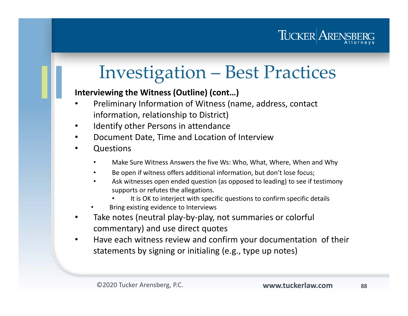

#### **Interviewing the Witness (Outline) (cont…)**

- • Preliminary Information of Witness (name, address, contact information, relationship to District)
- •Identify other Persons in attendance
- •Document Date, Time and Location of Interview
- • Questions
	- •Make Sure Witness Answers the five Ws: Who, What, Where, When and Why
	- •Be open if witness offers additional information, but don't lose focus;
	- • Ask witnesses open ended question (as opposed to leading) to see if testimony supports or refutes the allegations.
		- •It is OK to interject with specific questions to confirm specific details
	- •Bring existing evidence to Interviews
- • Take notes (neutral play-by-play, not summaries or colorful commentary) and use direct quotes
- • Have each witness review and confirm your documentation of their statements by signing or initialing (e.g., type up notes)

88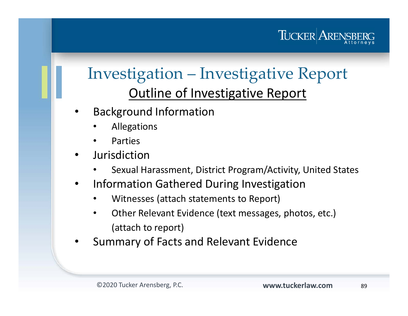

### Investigation – Investigative Report Outline of Investigative Report

- • Background Information
	- •Allegations
	- •Parties
- • Jurisdiction
	- •Sexual Harassment, District Program/Activity, United States
- • Information Gathered During Investigation
	- •Witnesses (attach statements to Report)
	- • Other Relevant Evidence (text messages, photos, etc.) (attach to report)
- •Summary of Facts and Relevant Evidence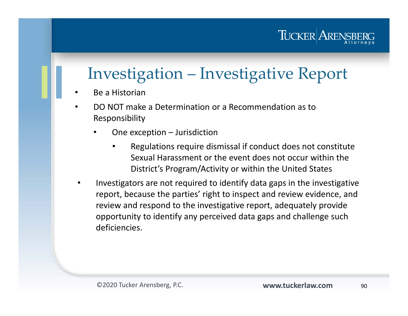## Investigation – Investigative Report

- •Be a Historian
- • DO NOT make a Determination or a Recommendation as to Responsibility
	- • One exception – Jurisdiction
		- • Regulations require dismissal if conduct does not constitute Sexual Harassment or the event does not occur within the District's Program/Activity or within the United States
- • Investigators are not required to identify data gaps in the investigative report, because the parties' right to inspect and review evidence, and review and respond to the investigative report, adequately provide opportunity to identify any perceived data gaps and challenge such deficiencies.

TUCKER ARENS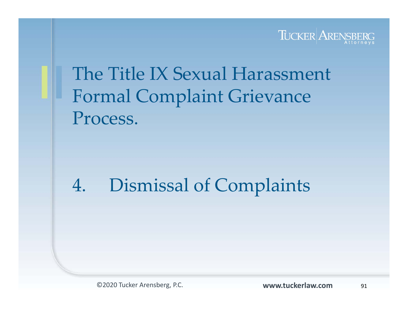

## The Title IX Sexual Harassment Formal Complaint Grievance Process.

## 4. Dismissal of Complaints

©2020 Tucker Arensberg, P.C. **www.tuckerlaw.com**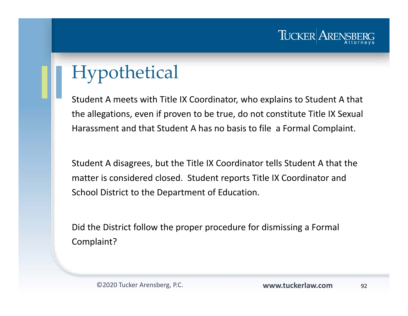

## Hypothetical

Student A meets with Title IX Coordinator, who explains to Student A that the allegations, even if proven to be true, do not constitute Title IX Sexual Harassment and that Student A has no basis to file a Formal Complaint.

Student A disagrees, but the Title IX Coordinator tells Student A that the matter is considered closed. Student reports Title IX Coordinator and School District to the Department of Education.

Did the District follow the proper procedure for dismissing a Formal Complaint?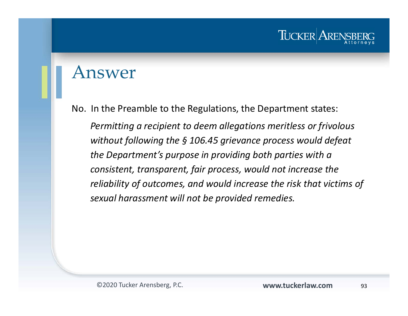#### Answer

No. In the Preamble to the Regulations, the Department states: *Permitting a recipient to deem allegations meritless or frivolous without following the § 106.45 grievance process would defeat the Department's purpose in providing both parties with a consistent, transparent, fair process, would not increase the reliability of outcomes, and would increase the risk that victims of sexual harassment will not be provided remedies.*

TUCKER ARE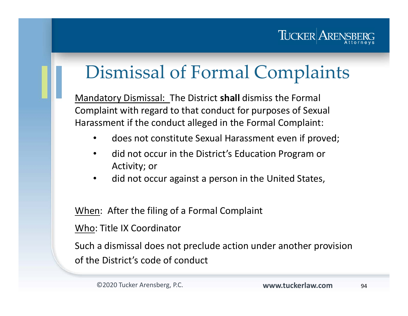

## Dismissal of Formal Complaints

Mandatory Dismissal: The District **shall** dismiss the Formal Complaint with regard to that conduct for purposes of Sexual Harassment if the conduct alleged in the Formal Complaint:

- $\bullet$ does not constitute Sexual Harassment even if proved;
- • did not occur in the District's Education Program or Activity; or
- •did not occur against a person in the United States,

When: After the filing of a Formal Complaint

Who: Title IX Coordinator

Such a dismissal does not preclude action under another provision of the District's code of conduct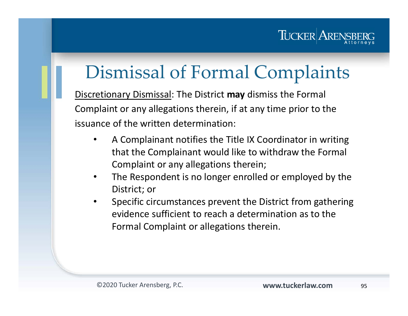### TUCKER ARENS

## Dismissal of Formal Complaints

Discretionary Dismissal: The District **may** dismiss the Formal Complaint or any allegations therein, if at any time prior to the issuance of the written determination:

- $\bullet$  A Complainant notifies the Title IX Coordinator in writing that the Complainant would like to withdraw the Formal Complaint or any allegations therein;
- $\bullet$  The Respondent is no longer enrolled or employed by the District; or
- $\bullet$  Specific circumstances prevent the District from gathering evidence sufficient to reach a determination as to the Formal Complaint or allegations therein.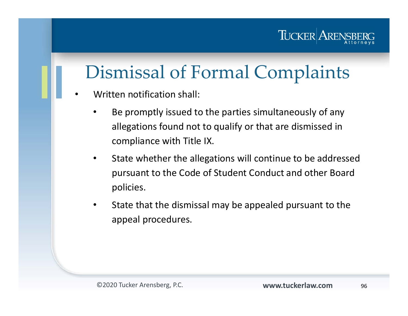### TUCKER ARENS

## Dismissal of Formal Complaints

- • Written notification shall:
	- • Be promptly issued to the parties simultaneously of any allegations found not to qualify or that are dismissed in compliance with Title IX.
	- $\bullet$  State whether the allegations will continue to be addressed pursuant to the Code of Student Conduct and other Board policies.
	- • State that the dismissal may be appealed pursuant to the appeal procedures.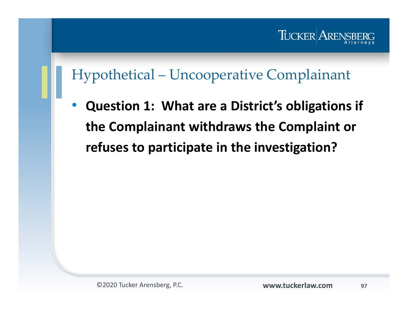

#### Hypothetical – Uncooperative Complainant

 $\bullet$  **Question 1: What are a District's obligations if the Complainant withdraws the Complaint or refuses to participate in the investigation?**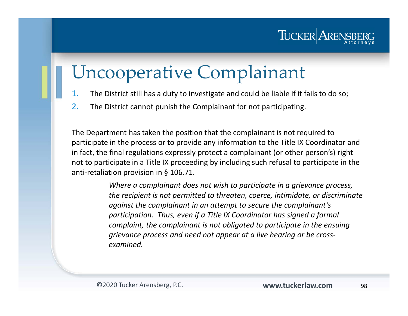

## Uncooperative Complainant

- 1.The District still has a duty to investigate and could be liable if it fails to do so;
- 2.The District cannot punish the Complainant for not participating.

The Department has taken the position that the complainant is not required to participate in the process or to provide any information to the Title IX Coordinator and in fact, the final regulations expressly protect a complainant (or other person's) right not to participate in a Title IX proceeding by including such refusal to participate in the anti-retaliation provision in § 106.71.

> *Where a complainant does not wish to participate in a grievance process, the recipient is not permitted to threaten, coerce, intimidate, or discriminate against the complainant in an attempt to secure the complainant's participation. Thus, even if a Title IX Coordinator has signed a formal complaint, the complainant is not obligated to participate in the ensuing grievance process and need not appear at a live hearing or be crossexamined.*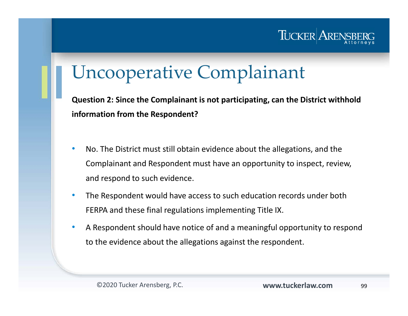

## Uncooperative Complainant

**Question 2: Since the Complainant is not participating, can the District withhold information from the Respondent?**

- $\bullet$  No. The District must still obtain evidence about the allegations, and the Complainant and Respondent must have an opportunity to inspect, review, and respond to such evidence.
- • The Respondent would have access to such education records under both FERPA and these final regulations implementing Title IX.
- • A Respondent should have notice of and a meaningful opportunity to respond to the evidence about the allegations against the respondent.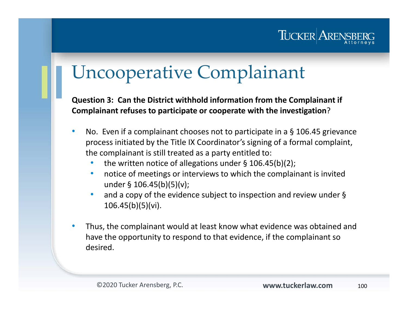

## Uncooperative Complainant

**Question 3: Can the District withhold information from the Complainant if Complainant refuses to participate or cooperate with the investigation**?

- $\bullet$  No. Even if a complainant chooses not to participate in a § 106.45 grievance process initiated by the Title IX Coordinator's signing of a formal complaint, the complainant is still treated as a party entitled to:
	- •the written notice of allegations under § 106.45(b)(2);
	- $\bullet$  notice of meetings or interviews to which the complainant is invited under § 106.45(b)(5)(v);
	- • and a copy of the evidence subject to inspection and review under § 106.45(b)(5)(vi).
- $\bullet$  Thus, the complainant would at least know what evidence was obtained and have the opportunity to respond to that evidence, if the complainant so desired.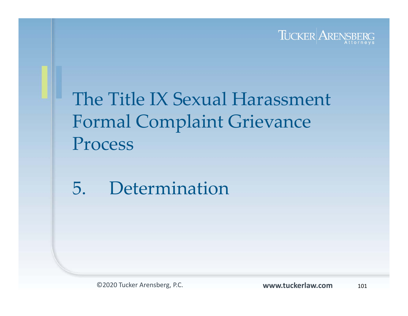

## The Title IX Sexual Harassment Formal Complaint Grievance Process

## 5. Determination

©2020 Tucker Arensberg, P.C. **www.tuckerlaw.com**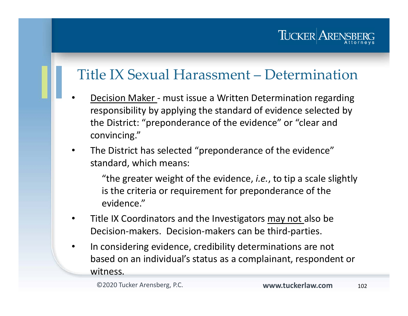### TUCKER AREI

#### Title IX Sexual Harassment – Determination

- •Decision Maker - must issue a Written Determination regarding responsibility by applying the standard of evidence selected by the District: "preponderance of the evidence" or "clear and convincing."
- $\bullet$  The District has selected "preponderance of the evidence" standard, which means:

"the greater weight of the evidence, *i.e.*, to tip a scale slightly is the criteria or requirement for preponderance of the evidence."

- •Title IX Coordinators and the Investigators may not also be Decision-makers. Decision-makers can be third-parties.
- • In considering evidence, credibility determinations are not based on an individual's status as a complainant, respondent or witness.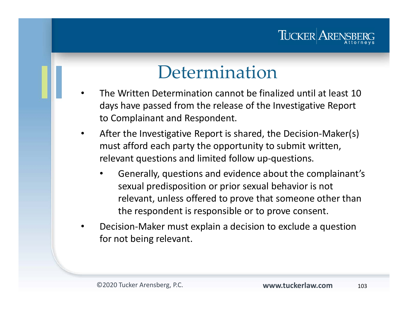#### TUCKER ARE

## Determination

- • The Written Determination cannot be finalized until at least 10days have passed from the release of the Investigative Report to Complainant and Respondent.
- $\bullet$  After the Investigative Report is shared, the Decision-Maker(s) must afford each party the opportunity to submit written, relevant questions and limited follow up-questions.
	- • Generally, questions and evidence about the complainant's sexual predisposition or prior sexual behavior is not relevant, unless offered to prove that someone other than the respondent is responsible or to prove consent.
- • Decision-Maker must explain a decision to exclude a question for not being relevant.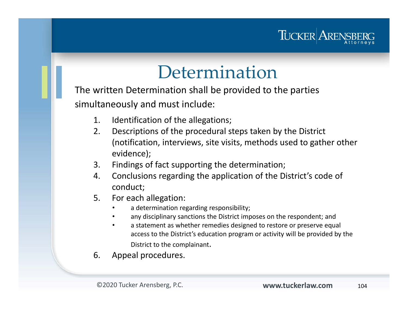

## Determination

The written Determination shall be provided to the parties simultaneously and must include:

- 1. Identification of the allegations;
- 2. Descriptions of the procedural steps taken by the District (notification, interviews, site visits, methods used to gather other evidence);
- 3. Findings of fact supporting the determination;
- 4. Conclusions regarding the application of the District's code of conduct;
- 5. For each allegation:
	- •a determination regarding responsibility;
	- •any disciplinary sanctions the District imposes on the respondent; and
	- • a statement as whether remedies designed to restore or preserve equal access to the District's education program or activity will be provided by the District to the complainant.
- 6. Appeal procedures.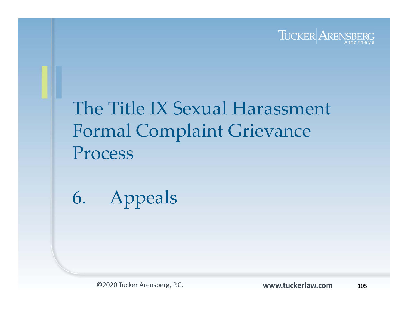

## The Title IX Sexual Harassment Formal Complaint Grievance Process

6. Appeals

©2020 Tucker Arensberg, P.C. **www.tuckerlaw.com**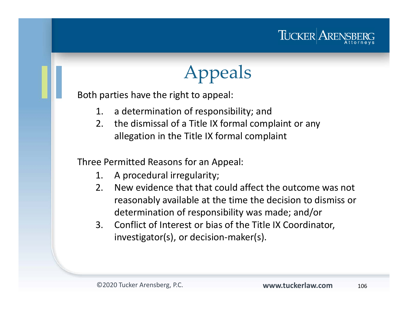

# Appeals

Both parties have the right to appeal:

- 1. a determination of responsibility; and
- 2. the dismissal of a Title IX formal complaint or any allegation in the Title IX formal complaint

Three Permitted Reasons for an Appeal:

- 1. A procedural irregularity;
- 2. New evidence that that could affect the outcome was not reasonably available at the time the decision to dismiss or determination of responsibility was made; and/or
- 3. Conflict of Interest or bias of the Title IX Coordinator, investigator(s), or decision-maker(s).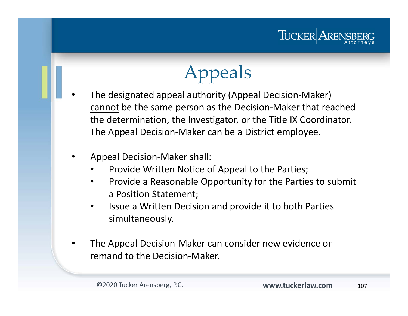

# Appeals

- • The designated appeal authority (Appeal Decision-Maker) cannot be the same person as the Decision-Maker that reached the determination, the Investigator, or the Title IX Coordinator. The Appeal Decision-Maker can be a District employee.
	- • Appeal Decision-Maker shall:
		- •Provide Written Notice of Appeal to the Parties;
		- • Provide a Reasonable Opportunity for the Parties to submit a Position Statement;
		- $\bullet$  Issue a Written Decision and provide it to both Parties simultaneously.
	- • The Appeal Decision-Maker can consider new evidence or remand to the Decision-Maker.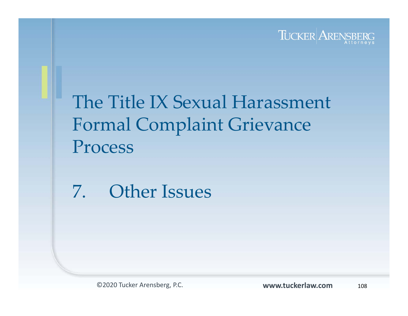

## The Title IX Sexual Harassment Formal Complaint Grievance Process

7. Other Issues

©2020 Tucker Arensberg, P.C. **www.tuckerlaw.com**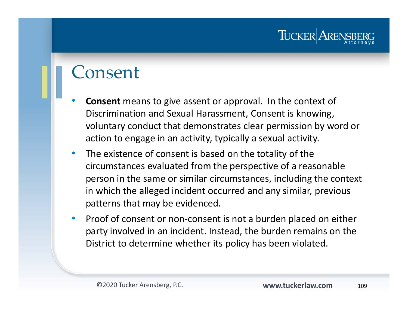#### Consent

- • **Consent** means to give assent or approval. In the context of Discrimination and Sexual Harassment, Consent is knowing, voluntary conduct that demonstrates clear permission by word or action to engage in an activity, typically a sexual activity.
- $\bullet$  The existence of consent is based on the totality of the circumstances evaluated from the perspective of a reasonable person in the same or similar circumstances, including the context in which the alleged incident occurred and any similar, previous patterns that may be evidenced.
- $\bullet$  Proof of consent or non-consent is not a burden placed on either party involved in an incident. Instead, the burden remains on the District to determine whether its policy has been violated.

TUCKER ARE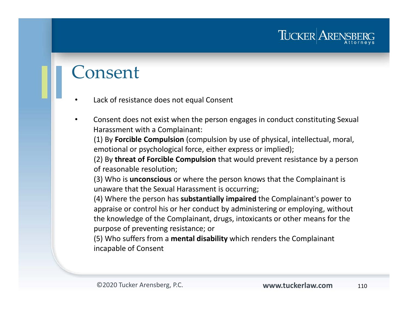#### Consent

- •Lack of resistance does not equal Consent
- • Consent does not exist when the person engages in conduct constituting Sexual Harassment with a Complainant:

(1) By **Forcible Compulsion** (compulsion by use of physical, intellectual, moral, emotional or psychological force, either express or implied);

(2) By **threat of Forcible Compulsion** that would prevent resistance by a person of reasonable resolution;

(3) Who is **unconscious** or where the person knows that the Complainant is unaware that the Sexual Harassment is occurring;

(4) Where the person has **substantially impaired** the Complainant's power to appraise or control his or her conduct by administering or employing, without the knowledge of the Complainant, drugs, intoxicants or other means for the purpose of preventing resistance; or

(5) Who suffers from a **mental disability** which renders the Complainant incapable of Consent

TUCKER ARE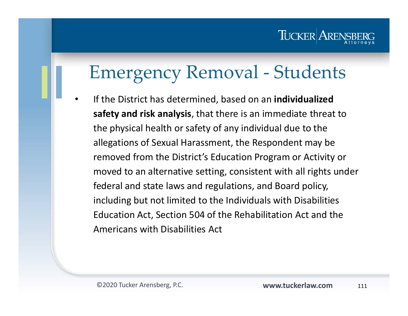#### TUCKER AREN

# Emergency Removal - Students

• If the District has determined, based on an **individualized safety and risk analysis**, that there is an immediate threat to the physical health or safety of any individual due to the allegations of Sexual Harassment, the Respondent may be removed from the District's Education Program or Activity or moved to an alternative setting, consistent with all rights under federal and state laws and regulations, and Board policy, including but not limited to the Individuals with Disabilities Education Act, Section 504 of the Rehabilitation Act and the Americans with Disabilities Act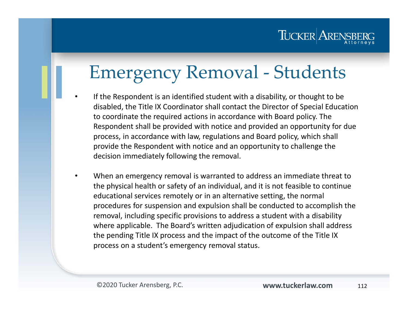

# Emergency Removal - Students

- • If the Respondent is an identified student with a disability, or thought to be disabled, the Title IX Coordinator shall contact the Director of Special Education to coordinate the required actions in accordance with Board policy. The Respondent shall be provided with notice and provided an opportunity for due process, in accordance with law, regulations and Board policy, which shall provide the Respondent with notice and an opportunity to challenge the decision immediately following the removal.
- • When an emergency removal is warranted to address an immediate threat to the physical health or safety of an individual, and it is not feasible to continue educational services remotely or in an alternative setting, the normal procedures for suspension and expulsion shall be conducted to accomplish the removal, including specific provisions to address a student with a disability where applicable. The Board's written adjudication of expulsion shall address the pending Title IX process and the impact of the outcome of the Title IX process on a student's emergency removal status.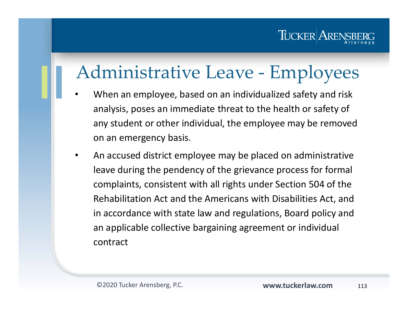# Administrative Leave - Employees

- • When an employee, based on an individualized safety and risk analysis, poses an immediate threat to the health or safety of any student or other individual, the employee may be removed on an emergency basis.
- • An accused district employee may be placed on administrative leave during the pendency of the grievance process for formal complaints, consistent with all rights under Section 504 of the Rehabilitation Act and the Americans with Disabilities Act, and in accordance with state law and regulations, Board policy and an applicable collective bargaining agreement or individual contract

TUCKER AREN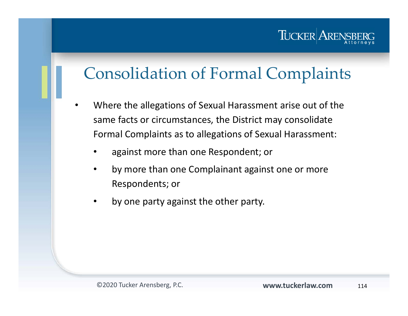#### TUCKER AREN

#### Consolidation of Formal Complaints

- • Where the allegations of Sexual Harassment arise out of the same facts or circumstances, the District may consolidate Formal Complaints as to allegations of Sexual Harassment:
	- •against more than one Respondent; or
	- • by more than one Complainant against one or more Respondents; or
	- •by one party against the other party.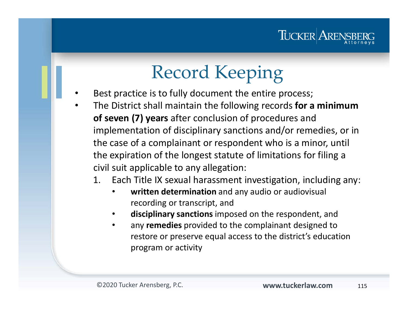

# Record Keeping

- • Best practice is to fully document the entire process;
	- The District shall maintain the following records **for a minimum of seven (7) years** after conclusion of procedures and implementation of disciplinary sanctions and/or remedies, or in the case of a complainant or respondent who is a minor, until the expiration of the longest statute of limitations for filing a civil suit applicable to any allegation:
		- 1. Each Title IX sexual harassment investigation, including any:
			- • **written determination** and any audio or audiovisual recording or transcript, and
			- •**disciplinary sanctions** imposed on the respondent, and
			- • any **remedies** provided to the complainant designed to restore or preserve equal access to the district's education program or activity

•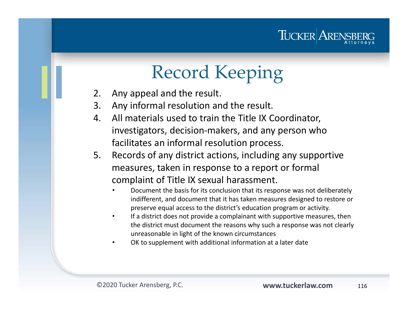

# Record Keeping

- 2. Any appeal and the result.
- 3. Any informal resolution and the result.
- 4. All materials used to train the Title IX Coordinator, investigators, decision-makers, and any person who facilitates an informal resolution process.
- 5. Records of any district actions, including any supportive measures, taken in response to a report or formal complaint of Title IX sexual harassment.
	- • Document the basis for its conclusion that its response was not deliberately indifferent, and document that it has taken measures designed to restore or preserve equal access to the district's education program or activity.
	- • If a district does not provide a complainant with supportive measures, then the district must document the reasons why such a response was not clearly unreasonable in light of the known circumstances
	- •OK to supplement with additional information at a later date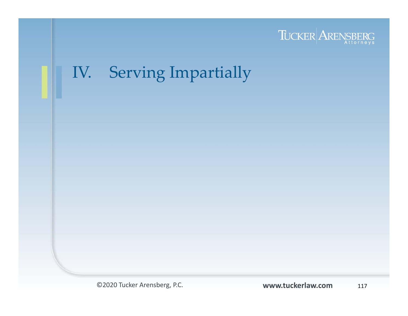

## IV. Serving Impartially

©2020 Tucker Arensberg, P.C.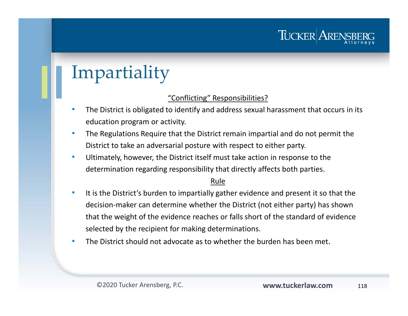# Impartiality

#### "Conflicting" Responsibilities?

- • The District is obligated to identify and address sexual harassment that occurs in its education program or activity.
- • The Regulations Require that the District remain impartial and do not permit the District to take an adversarial posture with respect to either party.
- $\bullet$  Ultimately, however, the District itself must take action in response to the determination regarding responsibility that directly affects both parties.

#### Rule

- $\bullet$  It is the District's burden to impartially gather evidence and present it so that the decision-maker can determine whether the District (not either party) has shown that the weight of the evidence reaches or falls short of the standard of evidence selected by the recipient for making determinations.
- •The District should not advocate as to whether the burden has been met.

TUCKER AREN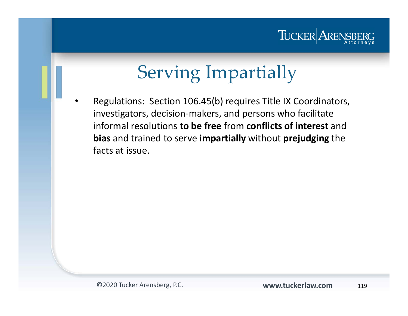

# Serving Impartially

• Regulations: Section 106.45(b) requires Title IX Coordinators, investigators, decision-makers, and persons who facilitate informal resolutions **to be free** from **conflicts of interest** and **bias** and trained to serve **impartially** without **prejudging** the facts at issue.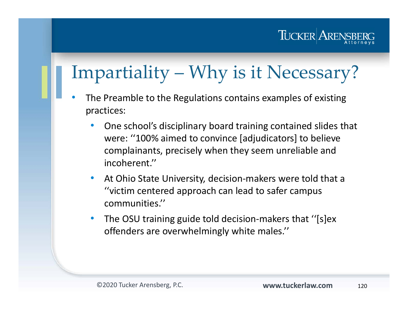## TUCKER ARENSI

# Impartiality – Why is it Necessary?

- • The Preamble to the Regulations contains examples of existing practices:
	- • One school's disciplinary board training contained slides that were: ''100% aimed to convince [adjudicators] to believe complainants, precisely when they seem unreliable and incoherent.''
	- • At Ohio State University, decision-makers were told that a ''victim centered approach can lead to safer campus communities.''
	- • The OSU training guide told decision-makers that ''[s]ex offenders are overwhelmingly white males.''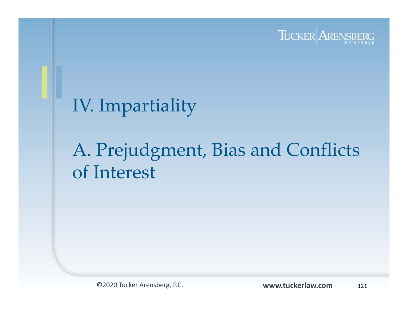

## IV. Impartiality

# A. Prejudgment, Bias and Conflicts of Interest

©2020 Tucker Arensberg, P.C. **www.tuckerlaw.com**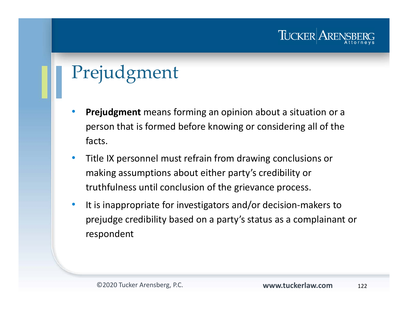# Prejudgment

- • **Prejudgment** means forming an opinion about a situation or a person that is formed before knowing or considering all of the facts.
- $\bullet$  Title IX personnel must refrain from drawing conclusions or making assumptions about either party's credibility or truthfulness until conclusion of the grievance process.
- $\bullet$  It is inappropriate for investigators and/or decision-makers to prejudge credibility based on a party's status as a complainant or respondent

TUCKER ARE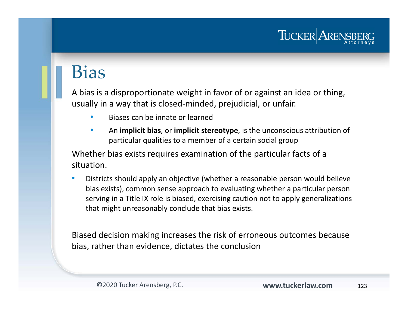# Bias

A bias is a disproportionate weight in favor of or against an idea or thing, usually in a way that is closed-minded, prejudicial, or unfair.

- •Biases can be innate or learned
- • An **implicit bias**, or **implicit stereotype**, is the unconscious attribution of particular qualities to a member of a certain social group

Whether bias exists requires examination of the particular facts of a situation.

• Districts should apply an objective (whether a reasonable person would believe bias exists), common sense approach to evaluating whether a particular person serving in a Title IX role is biased, exercising caution not to apply generalizations that might unreasonably conclude that bias exists.

Biased decision making increases the risk of erroneous outcomes because bias, rather than evidence, dictates the conclusion

TUCKER ARE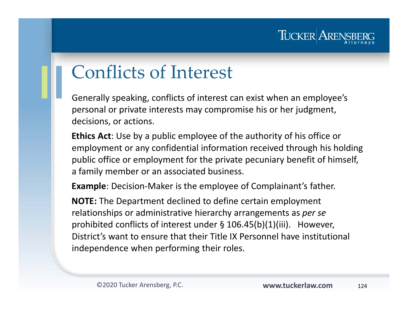

# Conflicts of Interest

Generally speaking, conflicts of interest can exist when an employee's personal or private interests may compromise his or her judgment, decisions, or actions.

**Ethics Act**: Use by a public employee of the authority of his office or employment or any confidential information received through his holding public office or employment for the private pecuniary benefit of himself, a family member or an associated business.

**Example**: Decision-Maker is the employee of Complainant's father.

**NOTE:** The Department declined to define certain employment relationships or administrative hierarchy arrangements as *per se*  prohibited conflicts of interest under § 106.45(b)(1)(iii). However, District's want to ensure that their Title IX Personnel have institutional independence when performing their roles.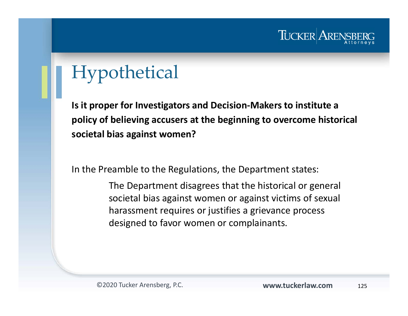

# Hypothetical

**Is it proper for Investigators and Decision-Makers to institute a policy of believing accusers at the beginning to overcome historical societal bias against women?**

In the Preamble to the Regulations, the Department states:

The Department disagrees that the historical or general societal bias against women or against victims of sexual harassment requires or justifies a grievance process designed to favor women or complainants.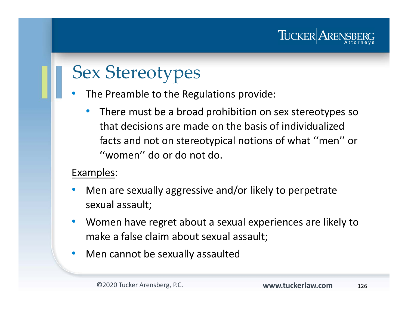# Sex Stereotypes

•The Preamble to the Regulations provide:

• There must be a broad prohibition on sex stereotypes so that decisions are made on the basis of individualized facts and not on stereotypical notions of what ''men'' or ''women'' do or do not do.

#### Examples:

- • Men are sexually aggressive and/or likely to perpetrate sexual assault;
- $\bullet$  Women have regret about a sexual experiences are likely to make a false claim about sexual assault;
- $\bullet$ Men cannot be sexually assaulted

TUCKER ARENS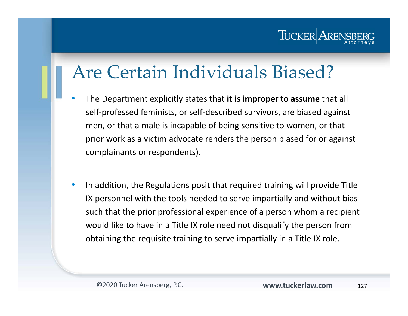#### TUCKER AREI

# Are Certain Individuals Biased?

- • The Department explicitly states that **it is improper to assume** that all self-professed feminists, or self-described survivors, are biased against men, or that a male is incapable of being sensitive to women, or that prior work as a victim advocate renders the person biased for or against complainants or respondents).
- $\bullet$  In addition, the Regulations posit that required training will provide Title IX personnel with the tools needed to serve impartially and without bias such that the prior professional experience of a person whom a recipient would like to have in a Title IX role need not disqualify the person from obtaining the requisite training to serve impartially in a Title IX role.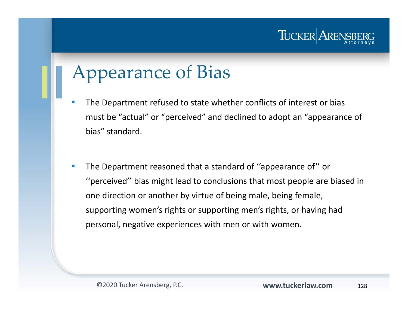

# Appearance of Bias

- • The Department refused to state whether conflicts of interest or bias must be "actual" or "perceived" and declined to adopt an "appearance of bias" standard.
- • The Department reasoned that a standard of ''appearance of'' or ''perceived'' bias might lead to conclusions that most people are biased in one direction or another by virtue of being male, being female, supporting women's rights or supporting men's rights, or having had personal, negative experiences with men or with women.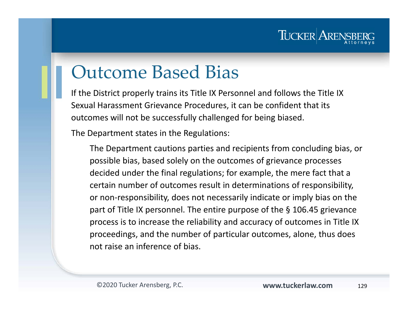

# Outcome Based Bias

If the District properly trains its Title IX Personnel and follows the Title IX Sexual Harassment Grievance Procedures, it can be confident that its outcomes will not be successfully challenged for being biased.

The Department states in the Regulations:

The Department cautions parties and recipients from concluding bias, or possible bias, based solely on the outcomes of grievance processes decided under the final regulations; for example, the mere fact that a certain number of outcomes result in determinations of responsibility, or non-responsibility, does not necessarily indicate or imply bias on the part of Title IX personnel. The entire purpose of the § 106.45 grievance process is to increase the reliability and accuracy of outcomes in Title IX proceedings, and the number of particular outcomes, alone, thus does not raise an inference of bias.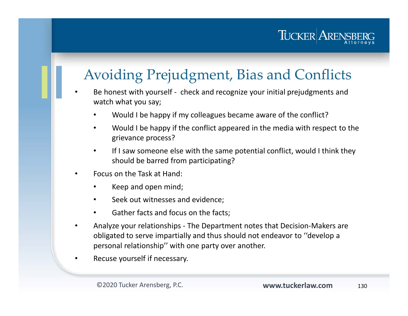#### Avoiding Prejudgment, Bias and Conflicts

- • Be honest with yourself - check and recognize your initial prejudgments and watch what you say;
	- •Would I be happy if my colleagues became aware of the conflict?
	- • Would I be happy if the conflict appeared in the media with respect to the grievance process?
	- $\bullet$  If I saw someone else with the same potential conflict, would I think they should be barred from participating?
- • Focus on the Task at Hand:
	- •Keep and open mind;
	- •Seek out witnesses and evidence;
	- •Gather facts and focus on the facts;
- • Analyze your relationships - The Department notes that Decision-Makers are obligated to serve impartially and thus should not endeavor to ''develop a personal relationship'' with one party over another.
- •Recuse yourself if necessary.

TUCKER ARENS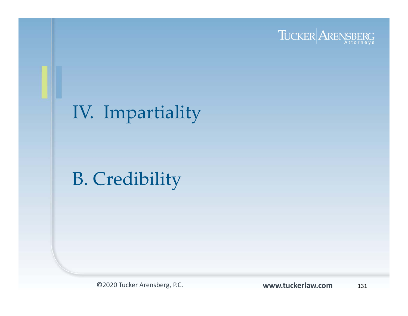

# IV. Impartiality

# B. Credibility

©2020 Tucker Arensberg, P.C. **www.tuckerlaw.com**

131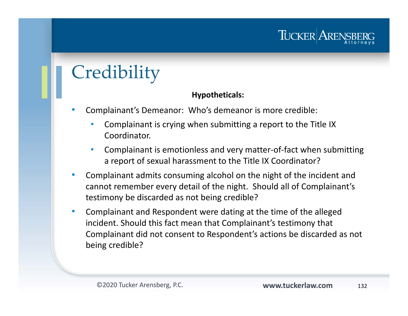# **Credibility**

#### **Hypotheticals:**

- • Complainant's Demeanor: Who's demeanor is more credible:
	- • Complainant is crying when submitting a report to the Title IX Coordinator.
	- • Complainant is emotionless and very matter-of-fact when submitting a report of sexual harassment to the Title IX Coordinator?
- $\bullet$  Complainant admits consuming alcohol on the night of the incident and cannot remember every detail of the night. Should all of Complainant's testimony be discarded as not being credible?
- $\bullet$  Complainant and Respondent were dating at the time of the alleged incident. Should this fact mean that Complainant's testimony that Complainant did not consent to Respondent's actions be discarded as not being credible?

TUCKER AREN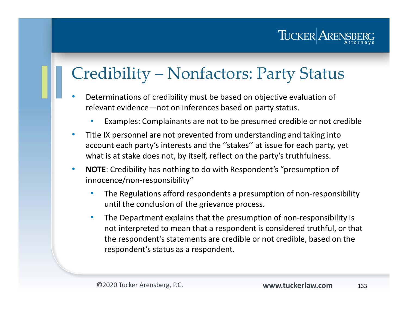

### Credibility – Nonfactors: Party Status

- • Determinations of credibility must be based on objective evaluation of relevant evidence—not on inferences based on party status.
	- •Examples: Complainants are not to be presumed credible or not credible
- $\bullet$  Title IX personnel are not prevented from understanding and taking into account each party's interests and the ''stakes'' at issue for each party, yet what is at stake does not, by itself, reflect on the party's truthfulness.
- $\bullet$  **NOTE**: Credibility has nothing to do with Respondent's "presumption of innocence/non-responsibility"
	- $\bullet$  The Regulations afford respondents a presumption of non-responsibility until the conclusion of the grievance process.
	- • The Department explains that the presumption of non-responsibility is not interpreted to mean that a respondent is considered truthful, or that the respondent's statements are credible or not credible, based on the respondent's status as a respondent.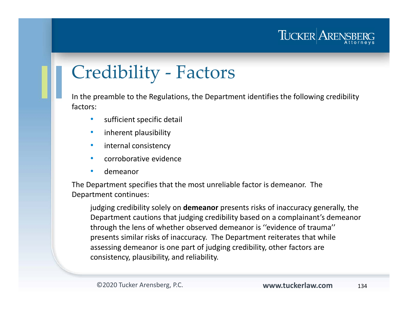

# Credibility - Factors

In the preamble to the Regulations, the Department identifies the following credibility factors:

- $\bullet$ sufficient specific detail
- •inherent plausibility
- •internal consistency
- •corroborative evidence
- •demeanor

The Department specifies that the most unreliable factor is demeanor. The Department continues:

judging credibility solely on **demeanor** presents risks of inaccuracy generally, the Department cautions that judging credibility based on a complainant's demeanor through the lens of whether observed demeanor is ''evidence of trauma'' presents similar risks of inaccuracy. The Department reiterates that while assessing demeanor is one part of judging credibility, other factors are consistency, plausibility, and reliability.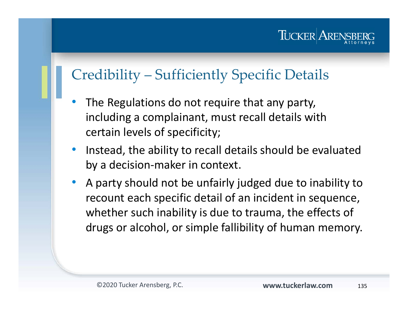TUCKER ARE

#### Credibility – Sufficiently Specific Details

- • The Regulations do not require that any party, including a complainant, must recall details with certain levels of specificity;
- $\bullet$  Instead, the ability to recall details should be evaluated by a decision-maker in context.
- $\bullet$  A party should not be unfairly judged due to inability to recount each specific detail of an incident in sequence, whether such inability is due to trauma, the effects of drugs or alcohol, or simple fallibility of human memory.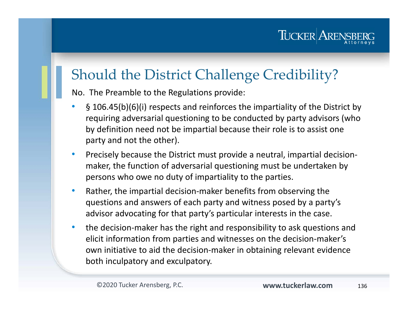#### Should the District Challenge Credibility?

No. The Preamble to the Regulations provide:

- • § 106.45(b)(6)(i) respects and reinforces the impartiality of the District by requiring adversarial questioning to be conducted by party advisors (who by definition need not be impartial because their role is to assist one party and not the other).
- $\bullet$  Precisely because the District must provide a neutral, impartial decisionmaker, the function of adversarial questioning must be undertaken by persons who owe no duty of impartiality to the parties.
- $\bullet$  Rather, the impartial decision-maker benefits from observing the questions and answers of each party and witness posed by a party's advisor advocating for that party's particular interests in the case.
- $\bullet$  the decision-maker has the right and responsibility to ask questions and elicit information from parties and witnesses on the decision-maker's own initiative to aid the decision-maker in obtaining relevant evidence both inculpatory and exculpatory.

TUCKER AREN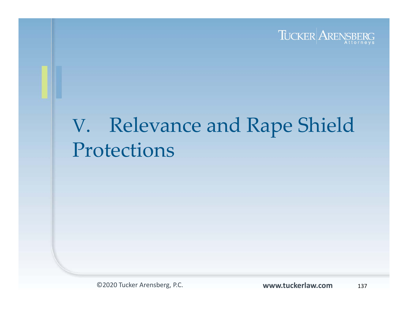

# V. Relevance and Rape Shield Protections

©2020 Tucker Arensberg, P.C. **www.tuckerlaw.com**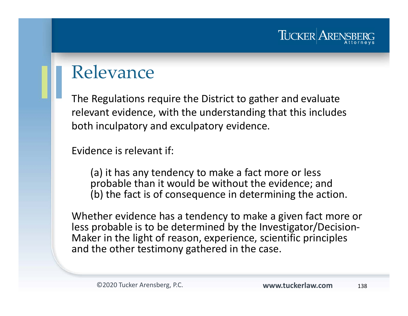#### TUCKER AREN

#### Relevance

The Regulations require the District to gather and evaluate relevant evidence, with the understanding that this includes both inculpatory and exculpatory evidence.

Evidence is relevant if:

(a) it has any tendency to make a fact more or less probable than it would be without the evidence; and (b) the fact is of consequence in determining the action.

Whether evidence has a tendency to make a given fact more or less probable is to be determined by the Investigator/Decision-Maker in the light of reason, experience, scientific principles and the other testimony gathered in the case.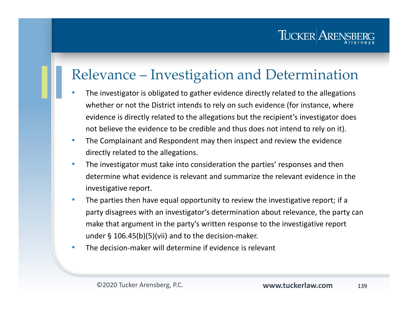#### Relevance – Investigation and Determination

- • The investigator is obligated to gather evidence directly related to the allegations whether or not the District intends to rely on such evidence (for instance, where evidence is directly related to the allegations but the recipient's investigator does not believe the evidence to be credible and thus does not intend to rely on it).
- $\bullet$  The Complainant and Respondent may then inspect and review the evidence directly related to the allegations.
- $\bullet$  The investigator must take into consideration the parties' responses and then determine what evidence is relevant and summarize the relevant evidence in the investigative report.
- • The parties then have equal opportunity to review the investigative report; if a party disagrees with an investigator's determination about relevance, the party can make that argument in the party's written response to the investigative report under § 106.45(b)(5)(vii) and to the decision-maker.
- •The decision-maker will determine if evidence is relevant

TUCKER ARENS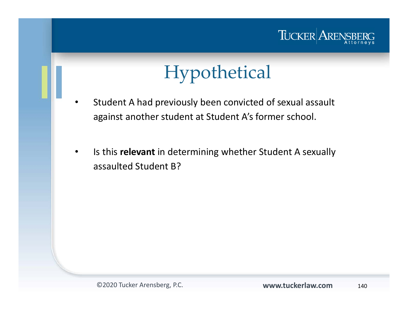

# Hypothetical

- • Student A had previously been convicted of sexual assault against another student at Student A's former school.
- • Is this **relevant** in determining whether Student A sexually assaulted Student B?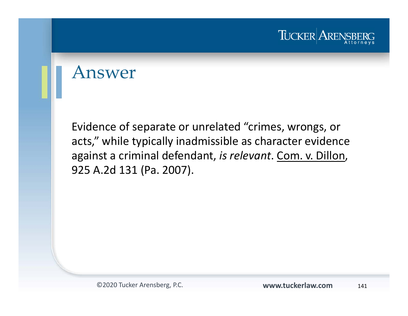

#### Answer

Evidence of separate or unrelated "crimes, wrongs, or acts," while typically inadmissible as character evidence against a criminal defendant, *is relevant*. Com. v. Dillon, 925 A.2d 131 (Pa. 2007).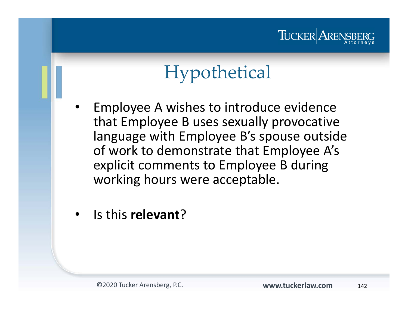#### TUCKER ARENS

# Hypothetical

- • Employee A wishes to introduce evidence that Employee B uses sexually provocative language with Employee B's spouse outside of work to demonstrate that Employee A's explicit comments to Employee B during working hours were acceptable.
- •Is this **relevant**?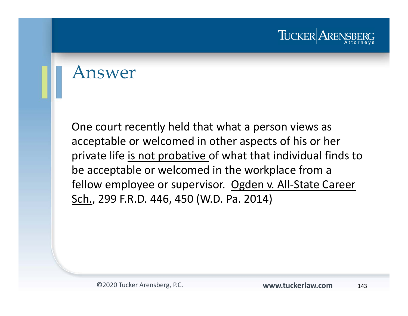

#### Answer

One court recently held that what a person views as acceptable or welcomed in other aspects of his or her private life is not probative of what that individual finds to be acceptable or welcomed in the workplace from a fellow employee or supervisor. Ogden v. All-State Career Sch., 299 F.R.D. 446, 450 (W.D. Pa. 2014)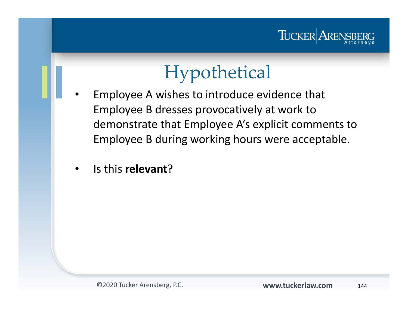

# Hypothetical

- • Employee A wishes to introduce evidence that Employee B dresses provocatively at work to demonstrate that Employee A's explicit comments to Employee B during working hours were acceptable.
	- •**•** Is this **relevant**?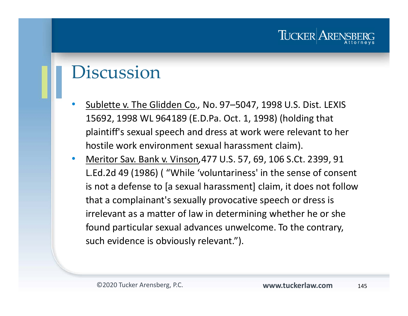## Discussion

- $\bullet$  Sublette v. The Glidden Co*.,* No. 97–5047, 1998 U.S. Dist. LEXIS 15692, 1998 WL 964189 (E.D.Pa. Oct. 1, 1998) (holding that plaintiff's sexual speech and dress at work were relevant to her hostile work environment sexual harassment claim).
- $\bullet$  Meritor Sav. Bank v. Vinson*,*477 U.S. 57, 69, 106 S.Ct. 2399, 91 L.Ed.2d 49 (1986) ( "While 'voluntariness' in the sense of consent is not a defense to [a sexual harassment] claim, it does not follow that a complainant's sexually provocative speech or dress is irrelevant as a matter of law in determining whether he or she found particular sexual advances unwelcome. To the contrary, such evidence is obviously relevant.").

TUCKER ARE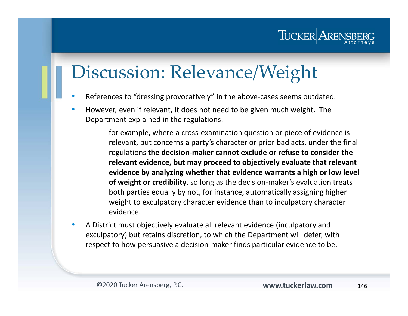## Discussion: Relevance/Weight

- •References to "dressing provocatively" in the above-cases seems outdated.
- $\bullet$  However, even if relevant, it does not need to be given much weight. The Department explained in the regulations:

for example, where a cross-examination question or piece of evidence is relevant, but concerns a party's character or prior bad acts, under the final regulations **the decision-maker cannot exclude or refuse to consider the relevant evidence, but may proceed to objectively evaluate that relevant evidence by analyzing whether that evidence warrants a high or low level of weight or credibility**, so long as the decision-maker's evaluation treats both parties equally by not, for instance, automatically assigning higher weight to exculpatory character evidence than to inculpatory character evidence.

• A District must objectively evaluate all relevant evidence (inculpatory and exculpatory) but retains discretion, to which the Department will defer, with respect to how persuasive a decision-maker finds particular evidence to be.

TUCKER AREN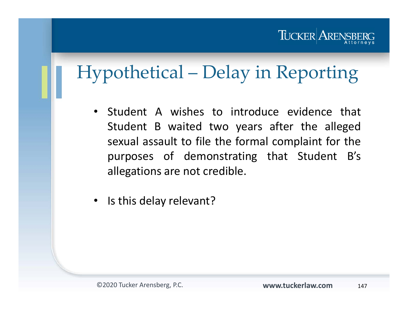### TUCKER ARENSBI

# Hypothetical – Delay in Reporting

- Student A wishes to introduce evidence that Student B waited two years after the alleged sexual assault to file the formal complaint for the purposes of demonstrating that Student B's allegations are not credible.
- $\bullet$ Is this delay relevant?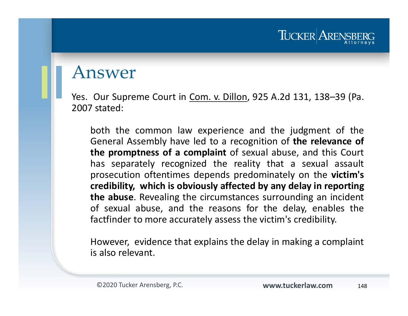#### Answer

Yes. Our Supreme Court in Com. v. Dillon, 925 A.2d 131, 138–39 (Pa. 2007 stated:

both the common law experience and the judgment of the General Assembly have led to <sup>a</sup> recognition of **the relevance of the promptness of <sup>a</sup> complaint** of sexual abuse, and this Court has separately recognized the reality that <sup>a</sup> sexual assault prosecution oftentimes depends predominately on the **victim's credibility, which is obviously affected by any delay in reporting the abuse**. Revealing the circumstances surrounding an incident of sexual abuse, and the reasons for the delay, enables the factfinder to more accurately assess the victim's credibility.

However, evidence that explains the delay in making <sup>a</sup> complaint is also relevant.

TUCKER AREN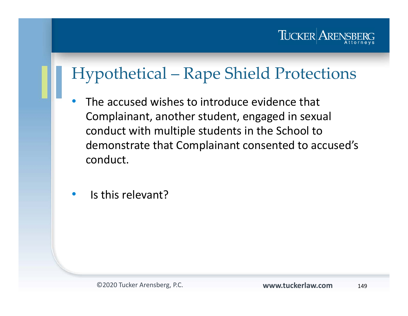

## Hypothetical – Rape Shield Protections

- • The accused wishes to introduce evidence that Complainant, another student, engaged in sexual conduct with multiple students in the School to demonstrate that Complainant consented to accused's conduct.
- •Is this relevant?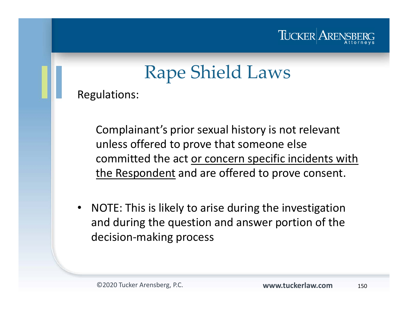

# Rape Shield Laws

Regulations:

Complainant's prior sexual history is not relevant unless offered to prove that someone else committed the act or concern specific incidents with the Respondent and are offered to prove consent.

 $\bullet$  NOTE: This is likely to arise during the investigation and during the question and answer portion of the decision-making process